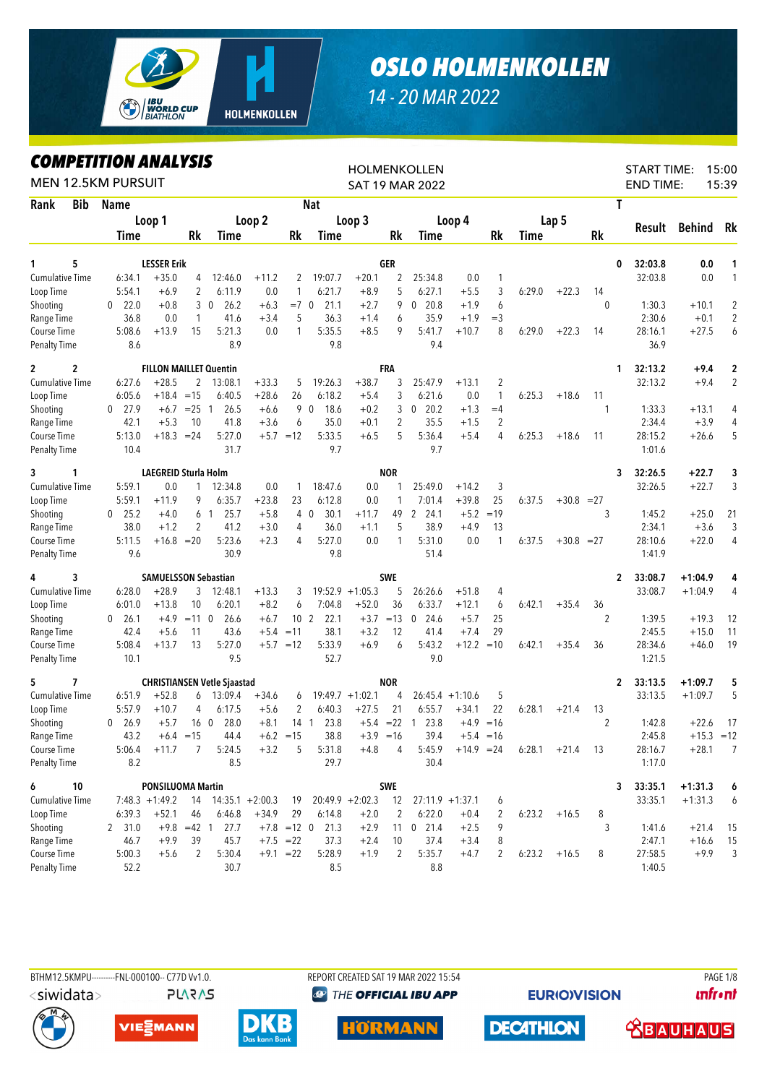

## *OSLO HOLMENKOLLEN*

## *14 - 20 MAR 2022*

## *COMPETITION ANALYSIS*

|                        |            | MPEIIIIVN ANALIƏIƏ<br><b>MEN 12.5KM PURSUIT</b> |                                        |                 |                                    |                    |                      |                    |                    |                | <b>HOLMENKOLLEN</b><br><b>SAT 19 MAR 2022</b> |                    |                |        |                |                      | <b>START TIME:</b><br><b>END TIME:</b> |                      | 15:00<br>15:39 |
|------------------------|------------|-------------------------------------------------|----------------------------------------|-----------------|------------------------------------|--------------------|----------------------|--------------------|--------------------|----------------|-----------------------------------------------|--------------------|----------------|--------|----------------|----------------------|----------------------------------------|----------------------|----------------|
| Rank                   | <b>Bib</b> | Name                                            |                                        |                 |                                    |                    |                      | <b>Nat</b>         |                    |                |                                               |                    |                |        |                |                      | T                                      |                      |                |
|                        |            |                                                 | Loop 1                                 |                 |                                    | Loop 2             |                      |                    | Loop 3             |                |                                               | Loop 4             |                |        | Lap 5          |                      |                                        |                      |                |
|                        |            | Time                                            |                                        | Rk              | Time                               |                    | Rk                   | Time               |                    | Rk             | Time                                          |                    | Rk             | Time   |                | <b>Rk</b>            | Result                                 | Behind               | Rk             |
|                        |            |                                                 |                                        |                 |                                    |                    |                      |                    |                    |                |                                               |                    |                |        |                |                      |                                        |                      |                |
| 1                      | 5          |                                                 | <b>LESSER Erik</b>                     |                 |                                    |                    |                      |                    |                    | GER            |                                               |                    |                |        |                |                      | 32:03.8<br>0                           | 0.0                  | 1              |
| <b>Cumulative Time</b> |            | 6:34.1                                          | $+35.0$                                | 4               | 12:46.0                            | $+11.2$            | 2                    | 19:07.7            | $+20.1$            | 2              | 25:34.8                                       | 0.0                | 1              |        |                |                      | 32:03.8                                | 0.0                  | $\mathbf{1}$   |
| Loop Time              |            | 5:54.1                                          | $+6.9$                                 | $\overline{2}$  | 6:11.9                             | 0.0                | 1                    | 6:21.7             | $+8.9$             | 5              | 6:27.1                                        | $+5.5$             | 3              | 6:29.0 | $+22.3$        | 14                   |                                        |                      |                |
| Shooting               |            | 22.0<br>$\mathbf 0$                             | $+0.8$                                 | 3               | 26.2<br>$\overline{0}$             | $+6.3$             | $=7$ 0               | 21.1               | $+2.7$             | 9              | 20.8<br>0                                     | $+1.9$             | 6              |        |                | $\theta$             | 1:30.3                                 | $+10.1$              | $\overline{2}$ |
| Range Time             |            | 36.8                                            | 0.0                                    | $\mathbf{1}$    | 41.6                               | $+3.4$             | 5                    | 36.3               | $+1.4$             | 6              | 35.9                                          | $+1.9$             | $=$ 3          |        |                |                      | 2:30.6                                 | $+0.1$               | $\overline{2}$ |
| Course Time            |            | 5:08.6                                          | $+13.9$                                | 15              | 5:21.3                             | 0.0                | 1                    | 5:35.5             | $+8.5$             | 9              | 5:41.7                                        | $+10.7$            | 8              | 6:29.0 | $+22.3$        | 14                   | 28:16.1                                | $+27.5$              | 6              |
| <b>Penalty Time</b>    |            | 8.6                                             |                                        |                 | 8.9                                |                    |                      | 9.8                |                    |                | 9.4                                           |                    |                |        |                |                      | 36.9                                   |                      |                |
| $\overline{c}$         | 2          |                                                 | <b>FILLON MAILLET Quentin</b>          |                 |                                    |                    |                      |                    |                    | <b>FRA</b>     |                                               |                    |                |        |                |                      | 32:13.2<br>1                           | $+9.4$               | 2              |
| <b>Cumulative Time</b> |            | 6:27.6                                          | $+28.5$                                | $\overline{2}$  | 13:08.1                            | $+33.3$            | 5                    | 19:26.3            | $+38.7$            | 3              | 25:47.9                                       | $+13.1$            | $\overline{2}$ |        |                |                      | 32:13.2                                | $+9.4$               | $\overline{2}$ |
| Loop Time              |            | 6:05.6                                          | $+18.4$                                | $=15$           | 6:40.5                             | $+28.6$            | 26                   | 6:18.2             | $+5.4$             | 3              | 6:21.6                                        | 0.0                | $\mathbf{1}$   | 6:25.3 | $+18.6$        | 11                   |                                        |                      |                |
| Shooting               |            | 27.9<br>$\mathbf{0}$                            | $+6.7$                                 | $= 25 \quad 1$  | 26.5                               | $+6.6$             |                      | 18.6<br>9 0        | $+0.2$             | 3              | $0$ 20.2                                      | $+1.3$             | $=4$           |        |                | -1                   | 1:33.3                                 | $+13.1$              | 4              |
| Range Time             |            | 42.1                                            | $+5.3$                                 | 10              | 41.8                               | $+3.6$             | 6                    | 35.0               | $+0.1$             | $\overline{2}$ | 35.5                                          | $+1.5$             | $\overline{2}$ |        |                |                      | 2:34.4                                 | $+3.9$               | 4              |
| Course Time            |            | 5:13.0                                          | $+18.3 = 24$                           |                 | 5:27.0                             | $+5.7 = 12$        |                      | 5:33.5             | $+6.5$             | 5              | 5:36.4                                        | $+5.4$             | 4              | 6:25.3 | $+18.6$        | -11                  | 28:15.2                                | $+26.6$              | 5              |
| <b>Penalty Time</b>    |            | 10.4                                            |                                        |                 | 31.7                               |                    |                      | 9.7                |                    |                | 9.7                                           |                    |                |        |                |                      | 1:01.6                                 |                      |                |
| 3                      | 1          |                                                 | LAEGREID Sturla Holm                   |                 |                                    |                    |                      |                    |                    | <b>NOR</b>     |                                               |                    |                |        |                |                      | 32:26.5<br>3                           | $+22.7$              | 3              |
| <b>Cumulative Time</b> |            | 5:59.1                                          | 0.0                                    | $\mathbf{1}$    | 12:34.8                            | 0.0                | 1                    | 18:47.6            | 0.0                |                | 25:49.0                                       | $+14.2$            | 3              |        |                |                      | 32:26.5                                | $+22.7$              | 3              |
| Loop Time              |            | 5:59.1                                          | $+11.9$                                | 9               | 6:35.7                             | $+23.8$            | 23                   | 6:12.8             | 0.0                | 1              | 7:01.4                                        | $+39.8$            | 25             | 6:37.5 | $+30.8 = 27$   |                      |                                        |                      |                |
| Shooting               |            | 25.2<br>0                                       | $+4.0$                                 |                 | 25.7<br>6 <sub>1</sub>             | $+5.8$             |                      | 4 0<br>30.1        | $+11.7$            | 49             | $\mathbf{2}$<br>24.1                          | $+5.2$             | $=19$          |        |                | 3                    | 1:45.2                                 | $+25.0$              | 21             |
| Range Time             |            | 38.0                                            | $+1.2$                                 | 2               | 41.2                               | $+3.0$             | 4                    | 36.0               | $+1.1$             | 5              | 38.9                                          | $+4.9$             | 13             |        |                |                      | 2:34.1                                 | $+3.6$               | 3              |
| Course Time            |            | 5:11.5                                          | $+16.8$                                | $=20$           | 5:23.6                             | $+2.3$             | 4                    | 5:27.0             | 0.0                | 1              | 5:31.0                                        | 0.0                | 1              | 6:37.5 | $+30.8 = 27$   |                      | 28:10.6                                | $+22.0$              | 4              |
| <b>Penalty Time</b>    |            | 9.6                                             |                                        |                 | 30.9                               |                    |                      | 9.8                |                    |                | 51.4                                          |                    |                |        |                |                      | 1:41.9                                 |                      |                |
| 4                      | 3          |                                                 |                                        |                 |                                    |                    |                      |                    |                    | <b>SWE</b>     |                                               |                    |                |        |                |                      |                                        |                      |                |
| <b>Cumulative Time</b> |            | 6:28.0                                          | <b>SAMUELSSON Sebastian</b><br>$+28.9$ | 3               |                                    | $+13.3$            |                      |                    | $19:52.9 +1:05.3$  | 5              | 26:26.6                                       |                    |                |        |                |                      | 33:08.7<br>$\mathbf{2}$<br>33:08.7     | +1:04.9<br>$+1:04.9$ | 4<br>4         |
|                        |            |                                                 |                                        |                 | 12:48.1                            | $+8.2$             | 3                    |                    |                    | 36             | 6:33.7                                        | $+51.8$<br>$+12.1$ | 4              |        |                |                      |                                        |                      |                |
| Loop Time              |            | 6:01.0<br>$\mathbf{0}$                          | $+13.8$                                | 10<br>$=11$ 0   | 6:20.1<br>26.6                     |                    | 6<br>10 <sub>2</sub> | 7:04.8<br>22.1     | $+52.0$<br>$+3.7$  |                | 24.6<br>$\mathbf 0$                           | $+5.7$             | 6<br>25        | 6:42.1 | $+35.4$        | 36<br>$\overline{2}$ | 1:39.5                                 | $+19.3$              | 12             |
| Shooting<br>Range Time |            | 26.1<br>42.4                                    | $+4.9$<br>$+5.6$                       | 11              | 43.6                               | $+6.7$<br>$+5.4$   | $=11$                | 38.1               | $+3.2$             | $=13$<br>12    | 41.4                                          | $+7.4$             | 29             |        |                |                      | 2:45.5                                 | $+15.0$              | 11             |
| Course Time            |            | 5:08.4                                          | $+13.7$                                | 13              | 5:27.0                             | $+5.7 = 12$        |                      | 5:33.9             | $+6.9$             | 6              | 5:43.2                                        | $+12.2$            | $=10$          | 6:42.1 | $+35.4$        | 36                   | 28:34.6                                | $+46.0$              | 19             |
| <b>Penalty Time</b>    |            | 10.1                                            |                                        |                 | 9.5                                |                    |                      | 52.7               |                    |                | 9.0                                           |                    |                |        |                |                      | 1:21.5                                 |                      |                |
|                        |            |                                                 |                                        |                 |                                    |                    |                      |                    |                    |                |                                               |                    |                |        |                |                      |                                        |                      |                |
| 5                      | 7          |                                                 |                                        |                 | <b>CHRISTIANSEN Vetle Sjaastad</b> |                    |                      |                    |                    | <b>NOR</b>     |                                               |                    |                |        |                |                      | 2<br>33:13.5                           | +1:09.7              | 5              |
| <b>Cumulative Time</b> |            | 6:51.9                                          | $+52.8$                                | 6               | 13:09.4                            | $+34.6$            | 6                    |                    | $19:49.7 +1:02.1$  | 4              |                                               | $26:45.4 +1:10.6$  | 5              |        |                |                      | 33:13.5                                | $+1:09.7$            | 5              |
| Loop Time              |            | 5:57.9                                          | $+10.7$                                | 4               | 6:17.5                             | $+5.6$             | 2                    | 6:40.3             | $+27.5$            | 21             | 6:55.7                                        | $+34.1$            | 22             | 6:28.1 | $+21.4$        | 13                   |                                        |                      |                |
| Shooting               |            | 26.9<br>0                                       | $+5.7$                                 | 16 <sub>0</sub> | 28.0                               | $+8.1$             | 14 <sub>1</sub>      | 23.8               |                    | $+5.4 = 22$    | 23.8<br>$\overline{1}$                        | $+4.9$             | $=16$          |        |                | 2                    | 1:42.8                                 | $+22.6$              | 17             |
| Range Time             |            | 43.2                                            |                                        | $+6.4 = 15$     | 44.4                               |                    | $+6.2 = 15$          | $38.8\,$           |                    | $+3.9 = 16$    | 39.4                                          |                    | $+5.4 = 16$    |        |                |                      | 2:45.8                                 | $+15.3 = 12$         |                |
| Course Time            |            | 5:06.4                                          | $+11.7$                                | 7               | 5:24.5                             | $+3.2$             | 5                    | 5:31.8             | $+4.8$             | 4              | 5:45.9                                        | $+14.9 = 24$       |                | 6:28.1 | $+21.4$        | -13                  | 28:16.7                                | $+28.1$              | 7              |
| <b>Penalty Time</b>    |            | 8.2                                             |                                        |                 | 8.5                                |                    |                      | 29.7               |                    |                | 30.4                                          |                    |                |        |                |                      | 1:17.0                                 |                      |                |
| 6                      | 10         |                                                 | PONSILUOMA Martin                      |                 |                                    |                    |                      |                    |                    | <b>SWE</b>     |                                               |                    |                |        |                |                      | 33:35.1<br>3                           | $+1:31.3$            | 6              |
| <b>Cumulative Time</b> |            |                                                 | $7:48.3 +1:49.2$                       | 14              |                                    | $14:35.1 + 2:00.3$ | 19                   |                    | $20:49.9 + 2:02.3$ | 12             |                                               | $27:11.9 + 1:37.1$ | 6              |        |                |                      | 33:35.1                                | $+1:31.3$            | 6              |
| Loop Time              |            | 6:39.3                                          | $+52.1$                                | 46              | 6:46.8                             | $+34.9$            | 29                   | 6:14.8             | $+2.0$             | 2              | 6:22.0                                        | $+0.4$             | 2              |        | $6:23.2 +16.5$ | 8                    |                                        |                      |                |
| Shooting               |            | 2, 31.0                                         |                                        | $+9.8 = 42$ 1   | 27.7                               |                    |                      | $+7.8$ = 12 0 21.3 | $+2.9$             |                | 11 0 21.4                                     | $+2.5$             | 9              |        |                | 3                    | 1:41.6                                 | $+21.4$              | 15             |
| Range Time             |            | 46.7                                            | $+9.9$                                 | 39              | 45.7                               | $+7.5 = 22$        |                      | 37.3               | $+2.4$             | 10             | 37.4                                          | $+3.4$             | 8              |        |                |                      | 2:47.1                                 | $+16.6$              | 15             |
| Course Time            |            | 5:00.3                                          | $+5.6$                                 | $\overline{2}$  | 5:30.4                             | $+9.1$ = 22        |                      | 5:28.9             | $+1.9$             | 2              | 5:35.7                                        | $+4.7$             | 2              |        | $6:23.2 +16.5$ | 8                    | 27:58.5                                | $+9.9$               | 3              |
| <b>Penalty Time</b>    |            | 52.2                                            |                                        |                 | 30.7                               |                    |                      | 8.5                |                    |                | 8.8                                           |                    |                |        |                |                      | 1:40.5                                 |                      |                |



BTHM12.5KMPU---------FNL-000100-- C77D Vv1.0. REPORT CREATED SAT 19 MAR 2022 15:54 PAGE 1/8 **@ THE OFFICIAL IBU APP** 

**EURIO)VISION** 

**unfront** 





**PLARAS** 







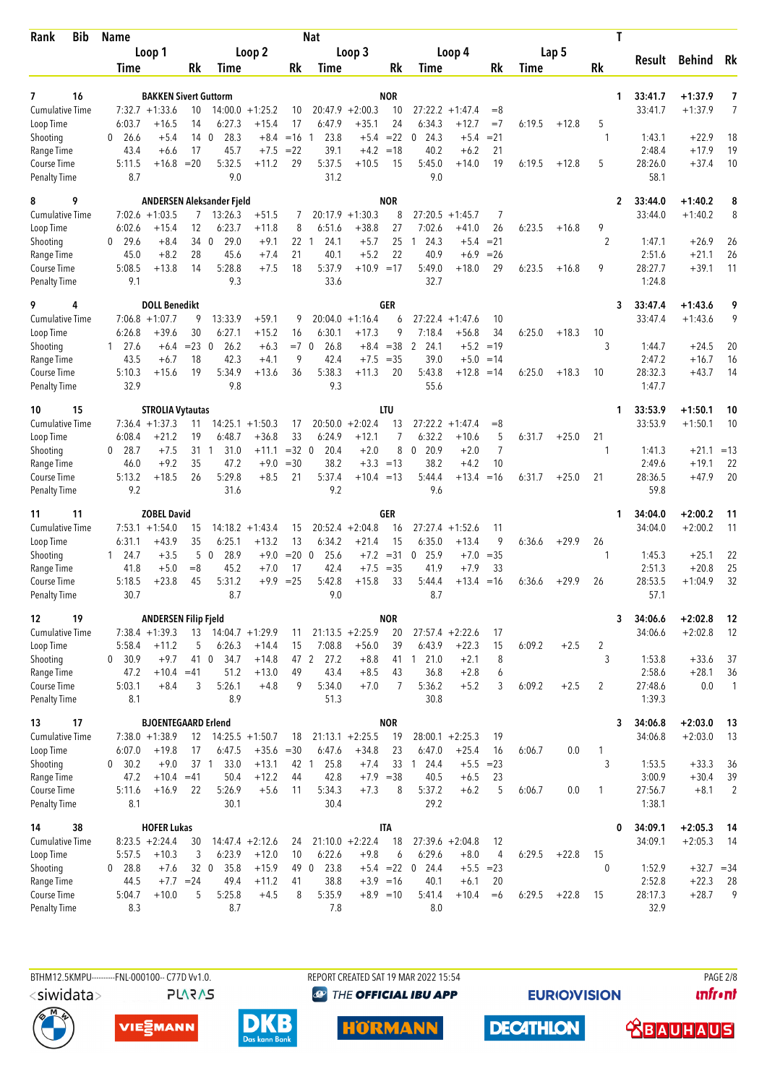| <b>Bib</b><br>Rank                  | Name                           |                              |                 |                                    |                               |              | <b>Nat</b>        |                               |             |                        |                               |                      |        |         | T                   |                   |                    |                |  |  |  |  |  |
|-------------------------------------|--------------------------------|------------------------------|-----------------|------------------------------------|-------------------------------|--------------|-------------------|-------------------------------|-------------|------------------------|-------------------------------|----------------------|--------|---------|---------------------|-------------------|--------------------|----------------|--|--|--|--|--|
|                                     |                                | Loop 1                       |                 |                                    | Loop 2                        |              |                   | Loop 3                        |             |                        | Loop 4                        |                      |        | Lap 5   |                     | Result            | <b>Behind</b>      | Rk             |  |  |  |  |  |
|                                     | Time                           |                              | Rk              | Time                               |                               | Rk           | Time              |                               | Rk          | Time                   |                               | Rk                   | Time   |         | Rk                  |                   |                    |                |  |  |  |  |  |
| 16<br>7                             |                                | <b>BAKKEN Sivert Guttorm</b> |                 |                                    |                               |              |                   |                               | <b>NOR</b>  |                        |                               |                      |        |         | 1                   | 33:41.7           | $+1:37.9$          | 7              |  |  |  |  |  |
| <b>Cumulative Time</b>              |                                | $7:32.7 +1:33.6$             | 10              |                                    | $14:00.0 + 1:25.2$            | 10           |                   | $20:47.9 + 2:00.3$            | 10          | 27:22.2                | $+1:47.4$                     | $= 8$                |        |         |                     | 33:41.7           | $+1:37.9$          | 7              |  |  |  |  |  |
| Loop Time                           | 6:03.7                         | $+16.5$                      | 14              | 6:27.3                             | $+15.4$                       | 17           | 6:47.9            | $+35.1$                       | 24          | 6:34.3                 | $+12.7$                       | $=7$                 | 6:19.5 | $+12.8$ | 5                   |                   |                    |                |  |  |  |  |  |
| Shooting                            | 26.6<br>0                      | $+5.4$                       | 14              | 28.3<br>$\mathbf{0}$               | $+8.4$                        | $=16$        | 23.8<br>-1        |                               | $+5.4 = 22$ | 24.3<br>0              | $+5.4$                        | $= 21$               |        |         | -1                  | 1:43.1            | $+22.9$            | 18             |  |  |  |  |  |
| Range Time<br>Course Time           | 43.4<br>5:11.5                 | +6.6<br>$+16.8$              | 17<br>$=20$     | 45.7<br>5:32.5                     | $+7.5$<br>$+11.2$             | $= 22$<br>29 | 39.1<br>5:37.5    | $+4.2$<br>$+10.5$             | $=18$<br>15 | 40.2<br>5:45.0         | $+6.2$<br>$+14.0$             | 21<br>19             | 6:19.5 | $+12.8$ | 5                   | 2:48.4<br>28:26.0 | $+17.9$<br>$+37.4$ | 19<br>10       |  |  |  |  |  |
| <b>Penalty Time</b>                 | 8.7                            |                              |                 | 9.0                                |                               |              | 31.2              |                               |             | 9.0                    |                               |                      |        |         |                     | 58.1              |                    |                |  |  |  |  |  |
| 9<br>8                              |                                |                              |                 | ANDERSEN Aleksander Fjeld          |                               |              |                   |                               | <b>NOR</b>  |                        |                               |                      |        |         | $\overline{2}$      | 33:44.0           | $+1:40.2$          | 8              |  |  |  |  |  |
| <b>Cumulative Time</b>              |                                | $7:02.6 +1:03.5$             | $\overline{7}$  | 13:26.3                            | $+51.5$                       | 7            | 20:17.9           | $+1:30.3$                     | 8           | 27:20.5                | $+1:45.7$                     | 7                    |        |         |                     | 33:44.0           | $+1:40.2$          | 8              |  |  |  |  |  |
| Loop Time                           | 6:02.6<br>29.6<br>$\mathbf{0}$ | $+15.4$                      | 12<br>34 0      | 6:23.7<br>29.0                     | $+11.8$                       | 8<br>22 1    | 6:51.6<br>24.1    | $+38.8$<br>$+5.7$             | 27<br>25    | 7:02.6<br>24.3<br>-1   | $+41.0$                       | 26<br>$= 21$         | 6:23.5 | $+16.8$ | 9<br>$\overline{2}$ | 1:47.1            |                    |                |  |  |  |  |  |
| Shooting<br>Range Time              | 45.0                           | $+8.4$<br>$+8.2$             | 28              | 45.6                               | $+9.1$<br>$+7.4$              | 21           | 40.1              | $+5.2$                        | 22          | 40.9                   | $+5.4$<br>$+6.9$              | $=26$                |        |         |                     | 2:51.6            | $+26.9$<br>$+21.1$ | 26<br>26       |  |  |  |  |  |
| Course Time                         | 5:08.5                         | $+13.8$                      | 14              | 5:28.8                             | $+7.5$                        | 18           | 5:37.9            | $+10.9 = 17$                  |             | 5:49.0                 | $+18.0$                       | 29                   | 6:23.5 | $+16.8$ | 9                   | 28:27.7           | $+39.1$            | 11             |  |  |  |  |  |
| <b>Penalty Time</b>                 | 9.1                            |                              |                 | 9.3                                |                               |              | 33.6              |                               |             | 32.7                   |                               |                      |        |         |                     | 1:24.8            |                    |                |  |  |  |  |  |
| 9<br>4                              |                                | <b>DOLL Benedikt</b>         |                 |                                    |                               |              |                   |                               | GER         |                        |                               |                      |        |         | 3                   | 33:47.4           | $+1:43.6$          | 9              |  |  |  |  |  |
| <b>Cumulative Time</b><br>Loop Time | 6:26.8                         | $7:06.8 + 1:07.7$<br>$+39.6$ | 9<br>30         | 13:33.9<br>6:27.1                  | $+59.1$<br>$+15.2$            | 9<br>16      | 20:04.0<br>6:30.1 | $+1:16.4$<br>$+17.3$          | 6<br>9      | 7:18.4                 | $27:22.4 + 1:47.6$<br>$+56.8$ | 10<br>34             | 6:25.0 | $+18.3$ | 10                  | 33:47.4           | $+1:43.6$          | 9              |  |  |  |  |  |
| Shooting                            | $1 \t27.6$                     | $+6.4$                       | $= 23 \ 0$      | 26.2                               | $+6.3$                        | $=7$ 0       | 26.8              |                               | $+8.4 = 38$ | $\overline{2}$<br>24.1 | $+5.2$                        | $=19$                |        |         | 3                   | 1:44.7            | $+24.5$            | 20             |  |  |  |  |  |
| Range Time                          | 43.5                           | $+6.7$                       | 18              | 42.3                               | $+4.1$                        | 9            | 42.4              | $+7.5$                        | $= 35$      | 39.0                   | $+5.0$                        | $=14$                |        |         |                     | 2:47.2            | $+16.7$            | 16             |  |  |  |  |  |
| Course Time                         | 5:10.3                         | $+15.6$                      | 19              | 5:34.9                             | $+13.6$                       | 36           | 5:38.3            | $+11.3$                       | 20          | 5:43.8                 | $+12.8$                       | $=14$                | 6:25.0 | $+18.3$ | 10                  | 28:32.3           | $+43.7$            | 14             |  |  |  |  |  |
| <b>Penalty Time</b>                 | 32.9                           |                              |                 | 9.8                                |                               |              | 9.3               |                               |             | 55.6                   |                               |                      |        |         |                     | 1:47.7            |                    |                |  |  |  |  |  |
| 15<br>10                            |                                | <b>STROLIA Vytautas</b>      |                 |                                    |                               |              |                   |                               | LTU         |                        |                               |                      |        |         | 1                   | 33:53.9           | $+1:50.1$          | 10             |  |  |  |  |  |
| <b>Cumulative Time</b><br>Loop Time | 6:08.4                         | $7:36.4 +1:37.3$<br>$+21.2$  | 11<br>19        | 6:48.7                             | $14:25.1 + 1:50.3$<br>$+36.8$ | 17<br>33     | 6:24.9            | $20:50.0 + 2:02.4$<br>$+12.1$ | 13<br>7     | 27:22.2<br>6:32.2      | $+1:47.4$<br>$+10.6$          | $= 8$<br>5           | 6:31.7 | $+25.0$ | 21                  | 33:53.9           | $+1:50.1$          | 10             |  |  |  |  |  |
| Shooting                            | $0$ 28.7                       | $+7.5$                       | 31 1            | 31.0                               | $+11.1$                       | $=32$ 0      | 20.4              | $+2.0$                        | 8           | 20.9<br>$\mathbf{0}$   | $+2.0$                        | $\overline{7}$       |        |         | 1                   | 1:41.3            | $+21.1 = 13$       |                |  |  |  |  |  |
| Range Time                          | 46.0                           | $+9.2$                       | 35              | 47.2                               | $+9.0$                        | $=30$        | 38.2              |                               | $+3.3 = 13$ | 38.2                   | $+4.2$                        | 10                   |        |         |                     | 2:49.6            | $+19.1$            | 22             |  |  |  |  |  |
| Course Time                         | 5:13.2                         | $+18.5$                      | 26              | 5:29.8                             | $+8.5$                        | 21           | 5:37.4            | $+10.4 = 13$                  |             | 5:44.4                 | $+13.4$                       | $=16$                | 6:31.7 | $+25.0$ | 21                  | 28:36.5           | $+47.9$            | 20             |  |  |  |  |  |
| <b>Penalty Time</b>                 | 9.2                            |                              |                 | 31.6                               |                               |              | 9.2               |                               |             | 9.6                    |                               |                      |        |         |                     | 59.8              |                    |                |  |  |  |  |  |
| 11<br>11                            |                                | <b>ZOBEL David</b>           |                 |                                    |                               |              |                   |                               | GER         |                        |                               |                      |        |         | 1                   | 34:04.0           | $+2:00.2$          | 11             |  |  |  |  |  |
| Cumulative Time<br>Loop Time        | 6:31.1                         | $7:53.1 + 1:54.0$<br>$+43.9$ | 15<br>35        | 6:25.1                             | $14:18.2 + 1:43.4$<br>$+13.2$ | 15<br>13     | 6:34.2            | $20:52.4 +2:04.8$<br>$+21.4$  | 16<br>15    | 27:27.4<br>6:35.0      | $+1:52.6$<br>$+13.4$          | 11<br>9              | 6:36.6 | $+29.9$ | 26                  | 34:04.0           | $+2:00.2$          | 11             |  |  |  |  |  |
| Shooting                            | 24.7<br>1                      | $+3.5$                       | 5               | $\mathbf{0}$<br>28.9               | $+9.0$                        | $= 20 \ 0$   | 25.6              | $+7.2$                        | $= 31$      | 25.9<br>0              | $+7.0$                        | $=35$                |        |         | 1                   | 1:45.3            | $+25.1$            | 22             |  |  |  |  |  |
| Range Time                          | 41.8                           | $+5.0$                       | $=8$            | 45.2                               | $+7.0$                        | 17           | 42.4              | $+7.5$                        | $=35$       | 41.9                   | $+7.9$                        | 33                   |        |         |                     | 2:51.3            | $+20.8$            | 25             |  |  |  |  |  |
| <b>Course Time</b>                  | 5:18.5                         | $+23.8$                      | 45              | 5:31.2                             | $+9.9$                        | $=25$        | 5:42.8            | $+15.8$                       | 33          | 5:44.4                 | $+13.4$                       | $=16$                | 6:36.6 | $+29.9$ | 26                  | 28:53.5           | $+1:04.9$          | 32             |  |  |  |  |  |
| <b>Penalty Time</b>                 | 30.7                           |                              |                 | 8.7                                |                               |              | 9.0               |                               |             | 8.7                    |                               |                      |        |         |                     | 57.1              |                    |                |  |  |  |  |  |
| 19<br>12                            |                                | <b>ANDERSEN Filip Fjeld</b>  |                 |                                    |                               |              |                   |                               | <b>NOR</b>  |                        |                               |                      |        |         | 3                   | 34:06.6           | $+2:02.8$          | 12             |  |  |  |  |  |
| Cumulative Time<br>Loop Time        | 5:58.4                         | $7:38.4 +1:39.3$<br>$+11.2$  | 13<br>5         | $14:04.7 +1:29.9$<br>6:26.3        | $+14.4$                       | 11<br>15     | 7:08.8            | $21:13.5 +2:25.9$<br>$+56.0$  | 20<br>39    | 6:43.9                 | $27:57.4 +2:22.6$<br>$+22.3$  | 17<br>15             | 6:09.2 | $+2.5$  | 2                   | 34:06.6           | $+2:02.8$          | 12             |  |  |  |  |  |
| Shooting                            | 0, 30.9                        | $+9.7$                       |                 | 41 0<br>34.7                       | $+14.8$                       |              | 47 2<br>27.2      | $+8.8$                        |             | 41 1 21.0              | $+2.1$                        | 8                    |        |         | 3                   | 1:53.8            | $+33.6$            | 37             |  |  |  |  |  |
| Range Time                          | 47.2                           | $+10.4 = 41$                 |                 | 51.2                               | $+13.0$                       | 49           | 43.4              | $+8.5$                        | 43          | 36.8                   | $+2.8$                        | 6                    |        |         |                     | 2:58.6            | $+28.1$            | 36             |  |  |  |  |  |
| Course Time                         | 5:03.1                         | $+8.4$                       | 3               | 5:26.1                             | $+4.8$                        | 9            | 5:34.0            | $+7.0$                        | 7           | 5:36.2                 | $+5.2$                        | 3                    | 6:09.2 | $+2.5$  | 2                   | 27:48.6           | 0.0                | $\overline{1}$ |  |  |  |  |  |
| <b>Penalty Time</b>                 | 8.1                            |                              |                 | 8.9                                |                               |              | 51.3              |                               |             | 30.8                   |                               |                      |        |         |                     | 1:39.3            |                    |                |  |  |  |  |  |
| 17<br>13                            |                                | <b>BJOENTEGAARD Erlend</b>   |                 |                                    |                               |              |                   |                               | <b>NOR</b>  |                        |                               |                      |        |         | 3                   | 34:06.8           | $+2:03.0$          | 13             |  |  |  |  |  |
| <b>Cumulative Time</b><br>Loop Time | 6:07.0                         | $7:38.0 +1:38.9$<br>$+19.8$  | 17              | $12$ $14:25.5$ $+1:50.7$<br>6:47.5 | $+35.6 = 30$                  | 18           | 6:47.6            | $21:13.1 + 2:25.5$<br>$+34.8$ | 19<br>23    | 6:47.0                 | $28:00.1 + 2:25.3$<br>$+25.4$ | 19<br>16             | 6:06.7 | 0.0     | 1                   | 34:06.8           | $+2:03.0$          | 13             |  |  |  |  |  |
| Shooting                            | 0 30.2                         | $+9.0$                       | 37 <sub>1</sub> | 33.0                               | $+13.1$                       | 42 1         | 25.8              | $+7.4$                        | 33          | 24.4<br>$\overline{1}$ | $+5.5$                        | $= 23$               |        |         | 3                   | 1:53.5            | $+33.3$            | 36             |  |  |  |  |  |
| Range Time                          | 47.2                           | $+10.4$                      | $=41$           | 50.4                               | $+12.2$                       | 44           | 42.8              | $+7.9 = 38$                   |             | 40.5                   | $+6.5$                        | 23                   |        |         |                     | 3:00.9            | $+30.4$            | 39             |  |  |  |  |  |
| Course Time                         | 5:11.6                         | $+16.9$                      | 22              | 5:26.9                             | $+5.6$                        | 11           | 5:34.3            | $+7.3$                        | 8           | 5:37.2                 | $+6.2$                        | 5                    | 6:06.7 | 0.0     | 1                   | 27:56.7           | $+8.1$             | $\overline{2}$ |  |  |  |  |  |
| <b>Penalty Time</b>                 | 8.1                            |                              |                 | 30.1                               |                               |              | 30.4              |                               |             | 29.2                   |                               |                      |        |         |                     | 1:38.1            |                    |                |  |  |  |  |  |
| 38<br>14                            |                                | <b>HOFER Lukas</b>           |                 |                                    |                               |              |                   |                               | <b>ITA</b>  |                        |                               |                      |        |         | 0                   | 34:09.1           | $+2:05.3$          | -14            |  |  |  |  |  |
| <b>Cumulative Time</b><br>Loop Time | 5:57.5                         | $8:23.5 +2:24.4$<br>$+10.3$  | 30<br>3         | 6:23.9                             | $14:47.4 + 2:12.6$<br>$+12.0$ | 24<br>10     | 6:22.6            | $21:10.0 + 2:22.4$<br>$+9.8$  | 18<br>6     | 6:29.6                 | $27:39.6 + 2:04.8$<br>$+8.0$  | 12<br>$\overline{4}$ | 6:29.5 | $+22.8$ | 15                  | 34:09.1           | $+2:05.3$          | -14            |  |  |  |  |  |
| Shooting                            | 0 28.8                         | $+7.6$                       | 32 <sub>0</sub> | 35.8                               | $+15.9$                       | 490          | 23.8              |                               |             | $+5.4$ = 22 0 24.4     |                               | $+5.5 = 23$          |        |         | $\theta$            | 1:52.9            | $+32.7 = 34$       |                |  |  |  |  |  |
| Range Time                          | 44.5                           |                              | $+7.7 = 24$     | 49.4                               | $+11.2$                       | 41           | 38.8              |                               | $+3.9 = 16$ | 40.1                   | $+6.1$                        | 20                   |        |         |                     | 2:52.8            | $+22.3$            | 28             |  |  |  |  |  |
| Course Time                         | 5:04.7                         | $+10.0$                      | 5               | 5:25.8                             | $+4.5$                        | 8            | 5:35.9            | $+8.9 = 10$                   |             | 5:41.4                 | $+10.4$                       | $=6$                 | 6:29.5 | $+22.8$ | 15                  | 28:17.3           | $+28.7$            | 9              |  |  |  |  |  |
| <b>Penalty Time</b>                 | 8.3                            |                              |                 | 8.7                                |                               |              | 7.8               |                               |             | 8.0                    |                               |                      |        |         |                     | 32.9              |                    |                |  |  |  |  |  |

BTHM12.5KMPU---------FNL-000100-- C77D Vv1.0. **PLARAS**  REPORT CREATED SAT 19 MAR 2022 15:54 <sup><sup>9</sup> THE OFFICIAL IBU APP</sup>

**EURIOVISION** 

**PAGE 2/8** *<u><u>Infront</u>*</u>







**HÖRMANN** 

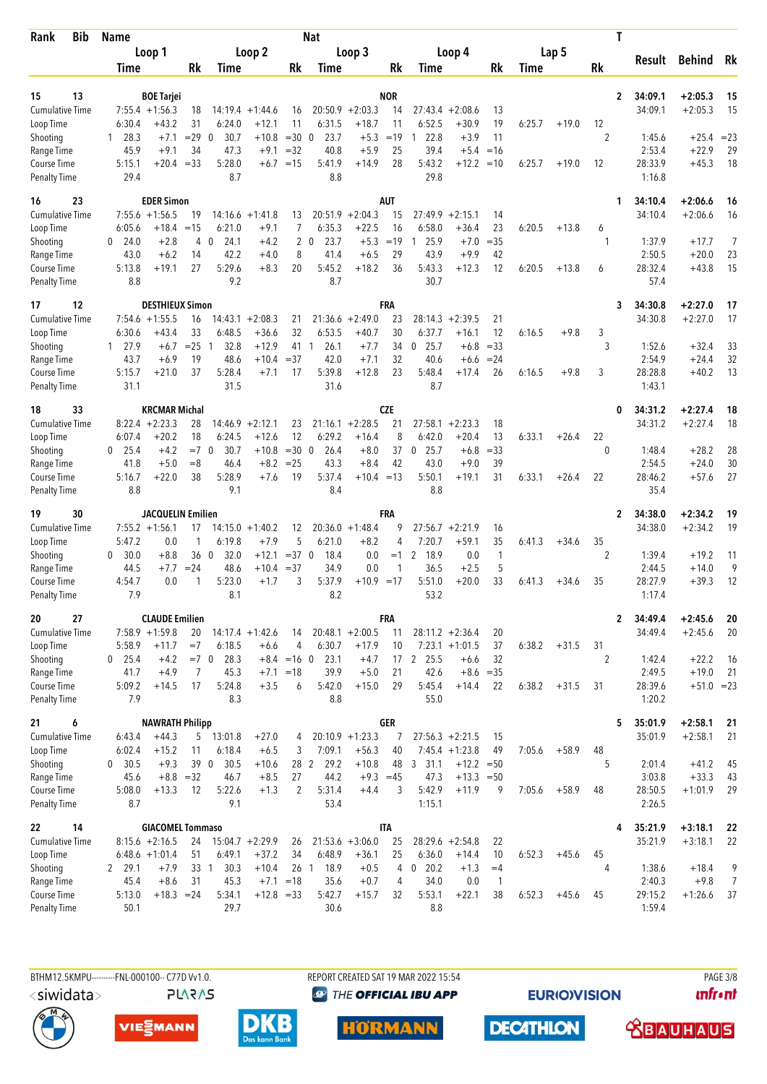| <b>Bib</b><br>Rank                  | <b>Name</b>       |                                      |            |                       |                               |                   | <b>Nat</b>                   |                               |             |                     |                                        |                |        |         | T              |                   |                    |                |
|-------------------------------------|-------------------|--------------------------------------|------------|-----------------------|-------------------------------|-------------------|------------------------------|-------------------------------|-------------|---------------------|----------------------------------------|----------------|--------|---------|----------------|-------------------|--------------------|----------------|
|                                     |                   | Loop 1                               |            |                       | Loop 2                        |                   |                              | Loop 3                        |             |                     | Loop 4                                 |                |        | Lap 5   |                | Result            | <b>Behind</b>      | Rk             |
|                                     | Time              |                                      | <b>Rk</b>  | Time                  |                               | Rk                | Time                         |                               | Rk          | Time                |                                        | Rk             | Time   |         | Rk             |                   |                    |                |
| 13<br>15                            |                   | <b>BOE Tarjei</b>                    |            |                       |                               |                   |                              |                               | <b>NOR</b>  |                     |                                        |                |        |         | $\overline{2}$ | 34:09.1           | $+2:05.3$          | 15             |
| <b>Cumulative Time</b>              |                   | $7:55.4 + 1:56.3$                    | 18         | 14:19.4               | $+1:44.6$                     | 16                |                              | $20:50.9 + 2:03.3$            | 14          |                     | $27:43.4 + 2:08.6$                     | 13             |        |         |                | 34:09.1           | $+2:05.3$          | 15             |
| Loop Time                           | 6:30.4            | $+43.2$                              | 31         | 6:24.0                | $+12.1$                       | 11                | 6:31.5                       | $+18.7$                       | 11          | 6:52.5              | $+30.9$                                | 19             | 6:25.7 | $+19.0$ | 12             |                   |                    |                |
| Shooting                            | 28.3<br>1         | $+7.1$                               | $= 29$     | 30.7<br>$\mathbf{0}$  | $+10.8$                       | $=300$            | 23.7                         | $+5.3$                        | $=19$       | 22.8<br>1           | $+3.9$                                 | 11             |        |         | 2              | 1:45.6            | $+25.4 = 23$       |                |
| Range Time<br>Course Time           | 45.9<br>5:15.1    | $+9.1$<br>$+20.4 = 33$               | 34         | 47.3<br>5:28.0        | $+9.1$<br>$+6.7$              | $=32$<br>$=15$    | 40.8<br>5:41.9               | $+5.9$<br>$+14.9$             | 25<br>28    | 39.4<br>5:43.2      | $+5.4$<br>$+12.2$                      | $=16$<br>$=10$ | 6:25.7 | $+19.0$ | 12             | 2:53.4<br>28:33.9 | $+22.9$<br>$+45.3$ | 29<br>18       |
| <b>Penalty Time</b>                 | 29.4              |                                      |            | 8.7                   |                               |                   | 8.8                          |                               |             | 29.8                |                                        |                |        |         |                | 1:16.8            |                    |                |
| 23<br>16                            |                   | <b>EDER Simon</b>                    |            |                       |                               |                   |                              |                               | <b>AUT</b>  |                     |                                        |                |        |         | 1              | 34:10.4           | $+2:06.6$          | 16             |
| <b>Cumulative Time</b>              |                   | $7:55.6 + 1:56.5$                    | 19         | 14:16.6               | $+1:41.8$                     | 13                | 20:51.9                      | $+2:04.3$                     | 15          | 27:49.9             | $+2:15.1$                              | 14             |        |         |                | 34:10.4           | $+2:06.6$          | 16             |
| Loop Time                           | 6:05.6            | $+18.4$                              | $=15$      | 6:21.0<br>$\Omega$    | $+9.1$                        | 7                 | 6:35.3                       | $+22.5$                       | 16<br>$=19$ | 6:58.0              | $+36.4$                                | 23             | 6:20.5 | $+13.8$ | 6              |                   |                    | 7              |
| Shooting<br>Range Time              | 0<br>24.0<br>43.0 | $+2.8$<br>$+6.2$                     | 4<br>14    | 24.1<br>42.2          | $+4.2$<br>$+4.0$              | $\mathbf{2}$<br>8 | 23.7<br>$\mathbf{0}$<br>41.4 | $+5.3$<br>$+6.5$              | 29          | 25.9<br>1<br>43.9   | $+7.0$<br>$+9.9$                       | $=35$<br>42    |        |         | 1              | 1:37.9<br>2:50.5  | $+17.7$<br>$+20.0$ | 23             |
| Course Time                         | 5:13.8            | $+19.1$                              | 27         | 5:29.6                | $+8.3$                        | 20                | 5:45.2                       | $+18.2$                       | 36          | 5:43.3              | $+12.3$                                | 12             | 6:20.5 | $+13.8$ | 6              | 28:32.4           | $+43.8$            | 15             |
| <b>Penalty Time</b>                 | 8.8               |                                      |            | 9.2                   |                               |                   | 8.7                          |                               |             | 30.7                |                                        |                |        |         |                | 57.4              |                    |                |
| 12<br>17                            |                   | <b>DESTHIEUX Simon</b>               |            |                       |                               |                   |                              |                               | FRA         |                     |                                        |                |        |         | 3              | 34:30.8           | $+2:27.0$          | 17             |
| <b>Cumulative Time</b><br>Loop Time | 7:54.6<br>6:30.6  | $+1:55.5$<br>$+43.4$                 | 16<br>33   | 6:48.5                | $14:43.1 + 2:08.3$<br>$+36.6$ | 21<br>32          | 21:36.6<br>6:53.5            | $+2:49.0$<br>$+40.7$          | 23<br>30    | 28:14.3<br>6:37.7   | $+2:39.5$<br>$+16.1$                   | 21<br>12       | 6:16.5 | $+9.8$  | 3              | 34:30.8           | $+2:27.0$          | 17             |
| Shooting                            | 27.9<br>1         | $+6.7$                               | $=25$      | 32.8<br>-1            | $+12.9$                       | 41 1              | 26.1                         | $+7.7$                        | 34          | 25.7<br>0           | $+6.8$                                 | $=33$          |        |         | 3              | 1:52.6            | $+32.4$            | 33             |
| Range Time                          | 43.7              | $+6.9$                               | 19         | 48.6                  | $+10.4$                       | $=37$             | 42.0                         | $+7.1$                        | 32          | 40.6                | $+6.6$                                 | $= 24$         |        |         |                | 2:54.9            | $+24.4$            | 32             |
| Course Time                         | 5:15.7            | $+21.0$                              | 37         | 5:28.4                | $+7.1$                        | 17                | 5:39.8                       | $+12.8$                       | 23          | 5:48.4              | $+17.4$                                | 26             | 6:16.5 | $+9.8$  | 3              | 28:28.8           | $+40.2$            | 13             |
| <b>Penalty Time</b>                 | 31.1              |                                      |            | 31.5                  |                               |                   | 31.6                         |                               |             | 8.7                 |                                        |                |        |         |                | 1:43.1            |                    |                |
| 33<br>18                            |                   | <b>KRCMAR Michal</b>                 |            |                       |                               |                   |                              |                               | CZE         |                     |                                        |                |        |         | 0              | 34:31.2           | $+2:27.4$          | 18             |
| <b>Cumulative Time</b><br>Loop Time | 6:07.4            | $8:22.4 +2:23.3$<br>$+20.2$          | 28<br>18   | 14:46.9<br>6:24.5     | $+2:12.1$<br>$+12.6$          | 23<br>12          | 6:29.2                       | $21:16.1 + 2:28.5$<br>$+16.4$ | 21<br>8     | 6:42.0              | $27:58.1 + 2:23.3$<br>$+20.4$          | 18<br>13       | 6:33.1 | $+26.4$ | 22             | 34:31.2           | $+2:27.4$          | 18             |
| Shooting                            | $0$ 25.4          | $+4.2$                               | $=7$ 0     | 30.7                  | $+10.8$                       | $=300$            | 26.4                         | $+8.0$                        | 37          | 25.7<br>$\mathbf 0$ | $+6.8$                                 | $= 33$         |        |         | 0              | 1:48.4            | $+28.2$            | 28             |
| Range Time                          | 41.8              | $+5.0$                               | $= 8$      | 46.4                  | $+8.2$                        | $= 25$            | 43.3                         | $+8.4$                        | 42          | 43.0                | $+9.0$                                 | 39             |        |         |                | 2:54.5            | $+24.0$            | 30             |
| Course Time                         | 5:16.7            | $+22.0$                              | 38         | 5:28.9                | $+7.6$                        | 19                | 5:37.4                       | $+10.4 = 13$                  |             | 5:50.1              | $+19.1$                                | 31             | 6:33.1 | $+26.4$ | 22             | 28:46.2           | $+57.6$            | 27             |
| <b>Penalty Time</b>                 | 8.8               |                                      |            | 9.1                   |                               |                   | 8.4                          |                               |             | 8.8                 |                                        |                |        |         |                | 35.4              |                    |                |
| 30<br>19                            |                   | JACQUELIN Emilien                    |            |                       |                               |                   |                              |                               | FRA         |                     |                                        |                |        |         | 2              | 34:38.0           | $+2:34.2$          | 19             |
| Cumulative Time<br>Loop Time        | 5:47.2            | $7:55.2 +1:56.1$<br>0.0              | 17<br>1    | 6:19.8                | $14:15.0 + 1:40.2$<br>$+7.9$  | 12<br>5           | 6:21.0                       | $20:36.0 +1:48.4$<br>$+8.2$   | 9<br>4      | 7:20.7              | $27:56.7 + 2:21.9$<br>$+59.1$          | 16<br>35       | 6:41.3 | $+34.6$ | 35             | 34:38.0           | $+2:34.2$          | 19             |
| Shooting                            | 30.0<br>0         | $+8.8$                               | 36 0       | 32.0                  | $+12.1$                       | $=37$ 0           | 18.4                         | 0.0                           | $=1$        | 2<br>18.9           | 0.0                                    | $\mathbf{1}$   |        |         | $\overline{2}$ | 1:39.4            | $+19.2$            | 11             |
| Range Time                          | 44.5              | $+7.7$                               | $= 24$     | 48.6                  | +10.4                         | $= 37$            | 34.9                         | 0.0                           | 1           | 36.5                | $+2.5$                                 | 5              |        |         |                | 2:44.5            | $+14.0$            | 9              |
| <b>Course Time</b>                  | 4:54.7            | 0.0                                  | 1          | 5:23.0                | $+1.7$                        | 3                 | 5:37.9                       | $+10.9 = 17$                  |             | 5:51.0              | $+20.0$                                | 33             | 6:41.3 | $+34.6$ | 35             | 28:27.9           | $+39.3$            | 12             |
| <b>Penalty Time</b>                 | 7.9               |                                      |            | 8.1                   |                               |                   | 8.2                          |                               |             | 53.2                |                                        |                |        |         |                | 1:17.4            |                    |                |
| 27<br>20                            |                   | <b>CLAUDE Emilien</b>                |            |                       |                               |                   |                              |                               | FRA         |                     |                                        |                |        |         | $\mathbf{2}$   | 34:49.4           | $+2:45.6$          | 20             |
| Cumulative Time<br>Loop Time        | 5:58.9            | $7:58.9 +1:59.8$<br>$+11.7$          | 20<br>$=7$ | 6:18.5                | $14:17.4 +1:42.6$<br>$+6.6$   | 14<br>4           | 6:30.7                       | $20:48.1 + 2:00.5$<br>$+17.9$ | 11<br>10    |                     | $28:11.2 + 2:36.4$<br>$7:23.1 +1:01.5$ | 20<br>37       | 6:38.2 | $+31.5$ | 31             | 34:49.4           | $+2:45.6$          | 20             |
| Shooting                            | $0$ 25.4          | $+4.2$                               | $=7$ 0     | 28.3                  |                               | $+8.4 = 16$ 0     | 23.1                         | $+4.7$                        |             | 17 2 25.5           | $+6.6$                                 | 32             |        |         | 2              | 1:42.4            | $+22.2$            | -16            |
| Range Time                          | 41.7              | $+4.9$                               | 7          | 45.3                  | $+7.1$                        | $=18$             | 39.9                         | $+5.0$                        | 21          | 42.6                |                                        | $+8.6 = 35$    |        |         |                | 2:49.5            | $+19.0$            | 21             |
| Course Time                         | 5:09.2            | $+14.5$                              | 17         | 5:24.8                | $+3.5$                        | 6                 | 5:42.0                       | $+15.0$                       | 29          | 5:45.4              | $+14.4$                                | 22             | 6:38.2 | $+31.5$ | 31             | 28:39.6           | $+51.0 = 23$       |                |
| <b>Penalty Time</b>                 | 7.9               |                                      |            | 8.3                   |                               |                   | 8.8                          |                               |             | 55.0                |                                        |                |        |         |                | 1:20.2            |                    |                |
| 6<br>21                             |                   | <b>NAWRATH Philipp</b>               |            |                       |                               |                   |                              |                               | <b>GER</b>  |                     |                                        |                |        |         | 5              | 35:01.9           | $+2:58.1$          | 21             |
| Cumulative Time<br>Loop Time        | 6:43.4<br>6:02.4  | $+44.3$<br>$+15.2$                   | 11         | $5$ 13:01.8<br>6:18.4 | $+27.0$<br>$+6.5$             | 4<br>3            | 7:09.1                       | $20:10.9 + 1:23.3$<br>$+56.3$ | 7<br>40     |                     | $27:56.3 +2:21.5$<br>$7:45.4 +1:23.8$  | 15<br>49       | 7:05.6 | $+58.9$ | 48             | 35:01.9           | $+2:58.1$          | 21             |
| Shooting                            | 0, 30.5           | $+9.3$                               | 39 0       | 30.5                  | $+10.6$                       | 28 2              | 29.2                         | $+10.8$                       | 48          | 3<br>31.1           | $+12.2 = 50$                           |                |        |         | 5              | 2:01.4            | $+41.2$            | 45             |
| Range Time                          | 45.6              | $+8.8$                               | $=32$      | 46.7                  | $+8.5$                        | 27                | 44.2                         | $+9.3 = 45$                   |             | 47.3                | $+13.3 = 50$                           |                |        |         |                | 3:03.8            | $+33.3$            | 43             |
| Course Time                         | 5:08.0            | $+13.3$                              | 12         | 5:22.6                | $+1.3$                        | 2                 | 5:31.4                       | $+4.4$                        | 3           | 5:42.9              | $+11.9$                                | 9              | 7:05.6 | $+58.9$ | 48             | 28:50.5           | $+1:01.9$          | 29             |
| <b>Penalty Time</b>                 | 8.7               |                                      |            | 9.1                   |                               |                   | 53.4                         |                               |             | 1:15.1              |                                        |                |        |         |                | 2:26.5            |                    |                |
| 14<br>22                            |                   | <b>GIACOMEL Tommaso</b>              |            |                       |                               |                   |                              |                               | <b>ITA</b>  |                     |                                        |                |        |         | 4              | 35:21.9           | $+3:18.1$          | 22             |
| <b>Cumulative Time</b><br>Loop Time |                   | $8:15.6 +2:16.5$<br>$6:48.6 +1:01.4$ | 24<br>51   | 6:49.1                | $15:04.7 + 2:29.9$<br>$+37.2$ | 26<br>34          | 6:48.9                       | $21:53.6 + 3:06.0$<br>$+36.1$ | 25<br>25    | 6:36.0              | $28:29.6 + 2:54.8$<br>$+14.4$          | 22<br>10       | 6:52.3 | $+45.6$ | 45             | 35:21.9           | $+3:18.1$          | 22             |
| Shooting                            | 2 29.1            | $+7.9$                               | 33 1       | 30.3                  | $+10.4$                       |                   | 26 <sub>1</sub><br>18.9      | $+0.5$                        | 4           | $0$ 20.2            | $+1.3$                                 | $=4$           |        |         | 4              | 1:38.6            | $+18.4$            | 9              |
| Range Time                          | 45.4              | $+8.6$                               | 31         | 45.3                  | $+7.1$                        | $=18$             | 35.6                         | $+0.7$                        | 4           | 34.0                | 0.0                                    | $\overline{1}$ |        |         |                | 2:40.3            | $+9.8$             | $\overline{7}$ |
| Course Time                         | 5:13.0            | $+18.3 = 24$                         |            | 5:34.1                | $+12.8 = 33$                  |                   | 5:42.7                       | $+15.7$                       | 32          | 5:53.1              | $+22.1$                                | 38             | 6:52.3 | $+45.6$ | 45             | 29:15.2           | $+1:26.6$          | 37             |
| <b>Penalty Time</b>                 | 50.1              |                                      |            | 29.7                  |                               |                   | 30.6                         |                               |             | 8.8                 |                                        |                |        |         |                | 1:59.4            |                    |                |

**PLARAS** 

BTHM12.5KMPU----------FNL-000100-- C77D Vv1.0. REPORT CREATED SAT 19 MAR 2022 15:54 PAGE 3/8 <sup><sup>9</sup> THE OFFICIAL IBU APP</sup>

**EURIOVISION** 

*<u><u>Infront</u>*</u>







**HÖRMANN** 

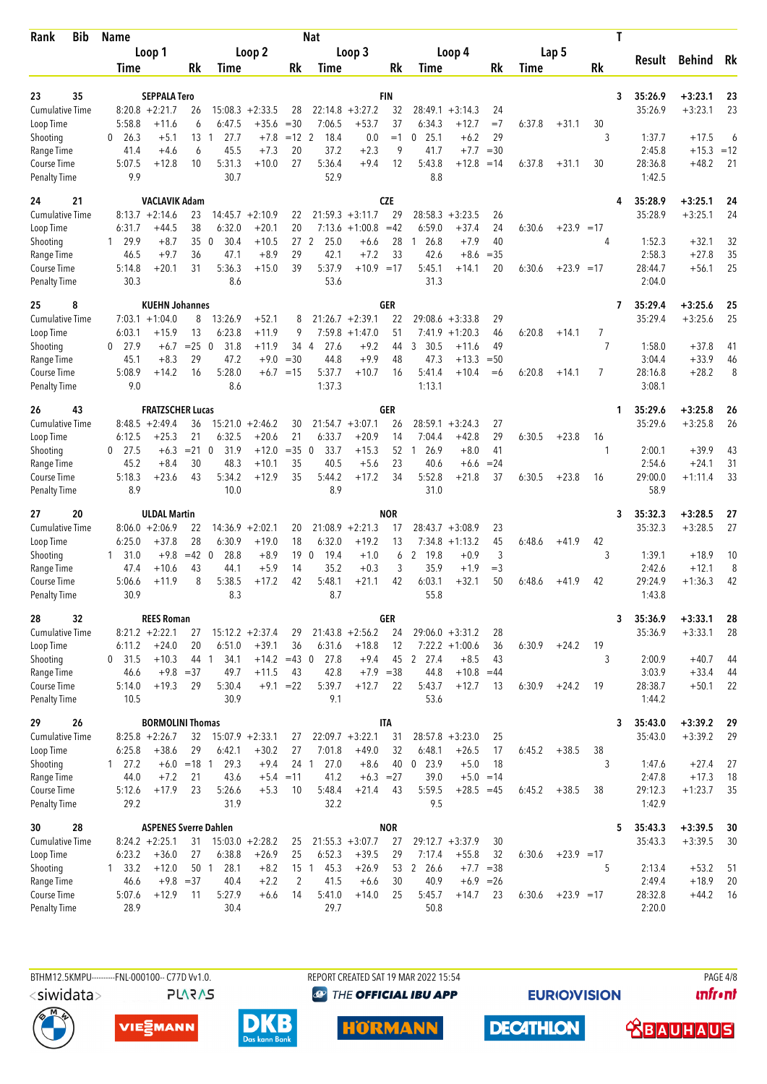| <b>Bib</b><br>Rank                        | <b>Name</b>              |                                          |                     |                                 |                       |                   | <b>Nat</b>                        |                                 |                  |                        |                         |                |        |              |                | T |                    | <b>Behind</b><br>$+3:23.1$<br>$+3:23.1$<br>$+17.5$<br>$+15.3$<br>$+48.2$<br>$+3:25.1$<br>$+3:25.1$ |             |
|-------------------------------------------|--------------------------|------------------------------------------|---------------------|---------------------------------|-----------------------|-------------------|-----------------------------------|---------------------------------|------------------|------------------------|-------------------------|----------------|--------|--------------|----------------|---|--------------------|----------------------------------------------------------------------------------------------------|-------------|
|                                           |                          | Loop 1                                   |                     |                                 | Loop 2                |                   |                                   | Loop 3                          |                  |                        | Loop 4                  |                |        | Lap 5        |                |   | Result             |                                                                                                    | Rk          |
|                                           | Time                     |                                          | Rk                  | Time                            |                       | Rk                | Time                              |                                 | Rk               | Time                   |                         | Rk             | Time   |              | Rk             |   |                    |                                                                                                    |             |
| 35<br>23                                  |                          | <b>SEPPALA Tero</b>                      |                     |                                 |                       |                   |                                   |                                 | FIN              |                        |                         |                |        |              |                | 3 | 35:26.9            |                                                                                                    | 23          |
| <b>Cumulative Time</b>                    |                          | $8:20.8 + 2:21.7$                        | 26                  |                                 | $15:08.3 + 2:33.5$    | 28                |                                   | $22:14.8 + 3:27.2$              | 32               | 28:49.1                | $+3:14.3$               | 24             |        |              |                |   | 35:26.9            |                                                                                                    | 23          |
| Loop Time                                 | 5:58.8                   | $+11.6$                                  | 6                   | 6:47.5                          | $+35.6$               | $=30$             | 7:06.5                            | $+53.7$                         | 37               | 6:34.3                 | $+12.7$                 | $=7$           | 6:37.8 | $+31.1$      | 30             |   |                    |                                                                                                    |             |
| Shooting                                  | 26.3<br>0                | $+5.1$                                   | 13                  | 27.7<br>-1                      | $+7.8$                | $=12$ 2           | 18.4                              | 0.0                             | $=1$             | 25.1<br>0              | $+6.2$                  | 29             |        |              | 3              |   | 1:37.7             |                                                                                                    | 6           |
| Range Time                                | 41.4                     | $+4.6$                                   | 6                   | 45.5<br>5:31.3                  | $+7.3$<br>$+10.0$     | 20<br>27          | 37.2<br>5:36.4                    | $+2.3$                          | 9<br>12          | 41.7<br>5:43.8         | $+7.7$<br>$+12.8$       | $=30$          |        |              |                |   | 2:45.8             |                                                                                                    | $=12$<br>21 |
| Course Time<br><b>Penalty Time</b>        | 5:07.5<br>9.9            | $+12.8$                                  | 10                  | 30.7                            |                       |                   | 52.9                              | $+9.4$                          |                  | 8.8                    |                         | $=14$          | 6:37.8 | $+31.1$      | 30             |   | 28:36.8<br>1:42.5  |                                                                                                    |             |
| 21<br>24                                  |                          | <b>VACLAVIK Adam</b>                     |                     |                                 |                       |                   |                                   |                                 | <b>CZE</b>       |                        |                         |                |        |              |                | 4 | 35:28.9            |                                                                                                    | 24          |
| <b>Cumulative Time</b>                    |                          | $8:13.7 + 2:14.6$                        | 23                  | 14:45.7                         | $+2:10.9$             | 22                |                                   | $21:59.3 +3:11.7$               | 29               | 28:58.3                | $+3:23.5$               | 26             |        |              |                |   | 35:28.9            |                                                                                                    | 24          |
| Loop Time                                 | 6:31.7<br>29.9           | $+44.5$<br>$+8.7$                        | 38<br>35            | 6:32.0<br>30.4<br>$\mathbf{0}$  | $+20.1$<br>$+10.5$    | 20<br>27          | 7:13.6<br>2<br>25.0               | $+1:00.8$                       | $=42$            | 6:59.0<br>26.8<br>1    | $+37.4$<br>$+7.9$       | 24<br>40       | 6:30.6 | $+23.9 = 17$ | 4              |   | 1:52.3             | $+32.1$                                                                                            | 32          |
| Shooting<br>Range Time                    | 1<br>46.5                | $+9.7$                                   | 36                  | 47.1                            | $+8.9$                | 29                | 42.1                              | $+6.6$<br>$+7.2$                | 28<br>33         | 42.6                   | $+8.6$                  | $=35$          |        |              |                |   | 2:58.3             | $+27.8$                                                                                            | 35          |
| Course Time                               | 5:14.8                   | $+20.1$                                  | 31                  | 5:36.3                          | $+15.0$               | 39                | 5:37.9                            | $+10.9 = 17$                    |                  | 5:45.1                 | $+14.1$                 | 20             | 6:30.6 | $+23.9 = 17$ |                |   | 28:44.7            | $+56.1$                                                                                            | 25          |
| <b>Penalty Time</b>                       | 30.3                     |                                          |                     | 8.6                             |                       |                   | 53.6                              |                                 |                  | 31.3                   |                         |                |        |              |                |   | 2:04.0             |                                                                                                    |             |
| 8<br>25                                   |                          | <b>KUEHN Johannes</b>                    |                     |                                 |                       |                   |                                   |                                 | GER              |                        |                         |                |        |              |                | 7 | 35:29.4            | $+3:25.6$                                                                                          | 25          |
| <b>Cumulative Time</b><br>Loop Time       | 6:03.1                   | $7:03.1 + 1:04.0$<br>$+15.9$             | 8<br>13             | 13:26.9<br>6:23.8               | $+52.1$<br>$+11.9$    | 8<br>9            | 7:59.8                            | $21:26.7 + 2:39.1$<br>$+1:47.0$ | 22<br>51         | 29:08.6<br>7:41.9      | $+3:33.8$<br>$+1:20.3$  | 29<br>46       | 6:20.8 | $+14.1$      | 7              |   | 35:29.4            | $+3:25.6$                                                                                          | 25          |
| Shooting                                  | 27.9<br>0                | $+6.7$                                   | $=25$               | $\overline{\mathbf{0}}$<br>31.8 | $+11.9$               | 34 4              | 27.6                              | $+9.2$                          | 44               | 30.5<br>3              | $+11.6$                 | 49             |        |              | $\overline{7}$ |   | 1:58.0             | $+37.8$                                                                                            | 41          |
| Range Time                                | 45.1                     | $+8.3$                                   | 29                  | 47.2                            | $+9.0$                | $= 30$            | 44.8                              | $+9.9$                          | 48               | 47.3                   | $+13.3$                 | $=50$          |        |              |                |   | 3:04.4             | $+33.9$                                                                                            | 46          |
| Course Time                               | 5:08.9                   | $+14.2$                                  | 16                  | 5:28.0                          |                       | $+6.7 = 15$       | 5:37.7                            | $+10.7$                         | 16               | 5:41.4                 | $+10.4$                 | $= 6$          | 6:20.8 | $+14.1$      | 7              |   | 28:16.8            | $+28.2$                                                                                            | 8           |
| <b>Penalty Time</b>                       | 9.0                      |                                          |                     | 8.6                             |                       |                   | 1:37.3                            |                                 |                  | 1:13.1                 |                         |                |        |              |                |   | 3:08.1             |                                                                                                    |             |
| 43<br>26                                  |                          | <b>FRATZSCHER Lucas</b>                  |                     |                                 |                       |                   |                                   |                                 | GER              |                        |                         |                |        |              |                | 1 | 35:29.6            | $+3:25.8$                                                                                          | 26          |
| <b>Cumulative Time</b><br>Loop Time       | 6:12.5                   | $8:48.5 +2:49.4$<br>$+25.3$              | 36<br>21            | 15:21.0<br>6:32.5               | $+2:46.2$<br>$+20.6$  | 30<br>21          | 6:33.7                            | $21:54.7 + 3:07.1$<br>$+20.9$   | 26<br>14         | 28:59.1<br>7:04.4      | $+3:24.3$<br>$+42.8$    | 27<br>29       | 6:30.5 | $+23.8$      | 16             |   | 35:29.6            | $+3:25.8$                                                                                          | 26          |
| Shooting                                  | $0$ 27.5                 | $+6.3$                                   | $= 21$ 0            | 31.9                            | $+12.0$               | $= 35$            | 33.7<br>$\mathbf{0}$              | $+15.3$                         | 52               | 26.9<br>$\overline{1}$ | $+8.0$                  | 41             |        |              | 1              |   | 2:00.1             | $+39.9$                                                                                            | 43          |
| Range Time                                | 45.2                     | $+8.4$                                   | 30                  | 48.3                            | $+10.1$               | 35                | 40.5                              | $+5.6$                          | 23               | 40.6                   | $+6.6$                  | $= 24$         |        |              |                |   | 2:54.6             | $+24.1$                                                                                            | 31          |
| Course Time<br><b>Penalty Time</b>        | 5:18.3<br>8.9            | $+23.6$                                  | 43                  | 5:34.2<br>10.0                  | $+12.9$               | 35                | 5:44.2<br>8.9                     | $+17.2$                         | 34               | 5:52.8<br>31.0         | $+21.8$                 | 37             | 6:30.5 | $+23.8$      | 16             |   | 29:00.0<br>58.9    | $+1:11.4$                                                                                          | 33          |
|                                           |                          |                                          |                     |                                 |                       |                   |                                   |                                 |                  |                        |                         |                |        |              |                |   |                    |                                                                                                    |             |
| 20<br>27<br>Cumulative Time               |                          | <b>ULDAL Martin</b><br>$8:06.0 + 2:06.9$ | 22                  |                                 | $14:36.9 + 2:02.1$    | 20                |                                   | $21:08.9 + 2:21.3$              | <b>NOR</b><br>17 |                        | $28:43.7 + 3:08.9$      | 23             |        |              |                | 3 | 35:32.3<br>35:32.3 | $+3:28.5$<br>$+3:28.5$                                                                             | 27<br>27    |
| Loop Time                                 | 6:25.0                   | $+37.8$                                  | 28                  | 6:30.9                          | $+19.0$               | 18                | 6:32.0                            | $+19.2$                         | 13               |                        | $7:34.8 +1:13.2$        | 45             | 6:48.6 | $+41.9$      | 42             |   |                    |                                                                                                    |             |
| Shooting                                  | 1, 31.0                  | $+9.8$                                   | $=42$ 0             | 28.8                            | $+8.9$                | 19 <sub>0</sub>   | 19.4                              | $+1.0$                          | 6                | 2<br>19.8              | $+0.9$                  | $\mathfrak{Z}$ |        |              | 3              |   | 1:39.1             | $+18.9$                                                                                            | 10          |
| Range Time                                | 47.4                     | $+10.6$                                  | 43                  | 44.1                            | $+5.9$                | 14                | 35.2                              | $+0.3$                          | 3                | 35.9                   | $+1.9$                  | $=$ 3          |        |              |                |   | 2:42.6             | $+12.1$                                                                                            | 8           |
| <b>Course Time</b><br><b>Penalty Time</b> | 5:06.6<br>30.9           | $+11.9$                                  | 8                   | 5:38.5<br>8.3                   | $+17.2$               | 42                | 5:48.1<br>8.7                     | $+21.1$                         | 42               | 6:03.1<br>55.8         | $+32.1$                 | 50             | 6:48.6 | $+41.9$      | 42             |   | 29:24.9<br>1:43.8  | $+1:36.3$                                                                                          | 42          |
| 32<br>28                                  |                          | <b>REES Roman</b>                        |                     |                                 |                       |                   |                                   |                                 | GER              |                        |                         |                |        |              |                | 3 | 35:36.9            | $+3:33.1$                                                                                          | 28          |
| <b>Cumulative Time</b>                    |                          | $8:21.2 +2:22.1$                         | 27                  |                                 | $15:12.2 + 2:37.4$    | 29                |                                   | $21:43.8 +2:56.2$               | 24               |                        | $29:06.0 + 3:31.2$      | 28             |        |              |                |   | 35:36.9            | $+3:33.1$                                                                                          | 28          |
| Loop Time                                 | 6:11.2                   | $+24.0$                                  | 20                  | 6:51.0                          | $+39.1$               | 36                | 6:31.6                            | $+18.8$                         | 12               |                        | $7:22.2 +1:00.6$        | 36             | 6:30.9 | $+24.2$      | 19             |   |                    |                                                                                                    |             |
| Shooting                                  | 0, 31.5                  | $+10.3$                                  | 44 1                | 34.1                            | $+14.2 = 43$ 0        |                   | 27.8                              | $+9.4$                          |                  | 45 2 27.4              | $+8.5$                  | 43             |        |              | 3              |   | 2:00.9             | $+40.7$                                                                                            | 44          |
| Range Time<br>Course Time                 | 46.6<br>5:14.0           | $+9.8 = 37$<br>$+19.3$                   | 29                  | 49.7<br>5:30.4                  | $+11.5$               | 43<br>$+9.1 = 22$ | 42.8<br>5:39.7                    | $+7.9 = 38$<br>$+12.7$          | 22               | 44.8<br>5:43.7         | $+10.8 = 44$<br>$+12.7$ | 13             | 6:30.9 | $+24.2$      | 19             |   | 3:03.9<br>28:38.7  | $+33.4$<br>$+50.1$                                                                                 | 44<br>22    |
| <b>Penalty Time</b>                       | 10.5                     |                                          |                     | 30.9                            |                       |                   | 9.1                               |                                 |                  | 53.6                   |                         |                |        |              |                |   | 1:44.2             |                                                                                                    |             |
| 26<br>29                                  |                          | <b>BORMOLINI Thomas</b>                  |                     |                                 |                       |                   |                                   |                                 | <b>ITA</b>       |                        |                         |                |        |              |                | 3 | 35:43.0            | $+3:39.2$                                                                                          | 29          |
| <b>Cumulative Time</b>                    |                          | $8:25.8 + 2:26.7$                        | 32                  | $15:07.9 + 2:33.1$              |                       | 27                |                                   | $22:09.7 + 3:22.1$              | 31               |                        | $28:57.8 + 3:23.0$      | 25             |        |              |                |   | 35:43.0            | $+3:39.2$                                                                                          | 29          |
| Loop Time                                 | 6:25.8                   | $+38.6$                                  | 29                  | 6:42.1                          | $+30.2$               | 27                | 7:01.8                            | $+49.0$                         | 32               | 6:48.1                 | $+26.5$                 | 17             | 6:45.2 | $+38.5$      | 38             |   |                    |                                                                                                    |             |
| Shooting<br>Range Time                    | 127.2<br>44.0            | $+7.2$                                   | $+6.0 = 18$ 1<br>21 | 29.3<br>43.6                    | $+9.4$<br>$+5.4 = 11$ | 24 1              | 27.0<br>41.2                      | $+8.6$<br>$+6.3 = 27$           | 40               | $0$ 23.9<br>39.0       | $+5.0$<br>$+5.0 = 14$   | 18             |        |              | 3              |   | 1:47.6<br>2:47.8   | $+27.4$<br>$+17.3$                                                                                 | 27<br>18    |
| Course Time                               | 5:12.6                   | $+17.9$                                  | 23                  | 5:26.6                          | $+5.3$                | 10                | 5:48.4                            | $+21.4$                         | 43               | 5:59.5                 | $+28.5 = 45$            |                | 6:45.2 | $+38.5$      | 38             |   | 29:12.3            | $+1:23.7$                                                                                          | 35          |
| <b>Penalty Time</b>                       | 29.2                     |                                          |                     | 31.9                            |                       |                   | 32.2                              |                                 |                  | 9.5                    |                         |                |        |              |                |   | 1:42.9             |                                                                                                    |             |
| 28<br>30                                  |                          | <b>ASPENES Sverre Dahlen</b>             |                     |                                 |                       |                   |                                   |                                 | <b>NOR</b>       |                        |                         |                |        |              |                | 5 | 35:43.3            | $+3:39.5$                                                                                          | 30          |
| Cumulative Time                           |                          | $8:24.2 +2:25.1$                         | 31                  |                                 | $15:03.0 + 2:28.2$    | 25                |                                   | $21:55.3 +3:07.7$               | 27               |                        | $29:12.7 + 3:37.9$      | 30             |        |              |                |   | 35:43.3            | $+3:39.5$                                                                                          | 30          |
| Loop Time<br>Shooting                     | 6:23.2<br>$1 \quad 33.2$ | $+36.0$<br>$+12.0$                       | 27<br>50 1          | 6:38.8<br>28.1                  | $+26.9$<br>$+8.2$     | 25                | 6:52.3<br>15 <sub>1</sub><br>45.3 | $+39.5$<br>$+26.9$              | 29<br>53         | 7:17.4<br>2 26.6       | $+55.8$<br>$+7.7 = 38$  | 32             | 6:30.6 | $+23.9 = 17$ | 5              |   | 2:13.4             | $+53.2$                                                                                            | 51          |
| Range Time                                | 46.6                     | $+9.8 = 37$                              |                     | 40.4                            | $+2.2$                | 2                 | 41.5                              | $+6.6$                          | 30               | 40.9                   | $+6.9$                  | $=26$          |        |              |                |   | 2:49.4             | $+18.9$                                                                                            | 20          |
| Course Time                               | 5:07.6                   | $+12.9$                                  | 11                  | 5:27.9                          | $+6.6$                | 14                | 5:41.0                            | $+14.0$                         | 25               | 5:45.7                 | $+14.7$                 | 23             | 6:30.6 | $+23.9 = 17$ |                |   | 28:32.8            | $+44.2$                                                                                            | 16          |
| <b>Penalty Time</b>                       | 28.9                     |                                          |                     | 30.4                            |                       |                   | 29.7                              |                                 |                  | 50.8                   |                         |                |        |              |                |   | 2:20.0             |                                                                                                    |             |

BTHM12.5KMPU---------FNL-000100-- C77D Vv1.0. **PLARAS**  REPORT CREATED SAT 19 MAR 2022 15:54 <sup><sup>9</sup> THE OFFICIAL IBU APP</sup>

**EURIOVISION** 

PAGE 4/8 *<u><u>Infront</u>*</u>









**DECATHLON** 

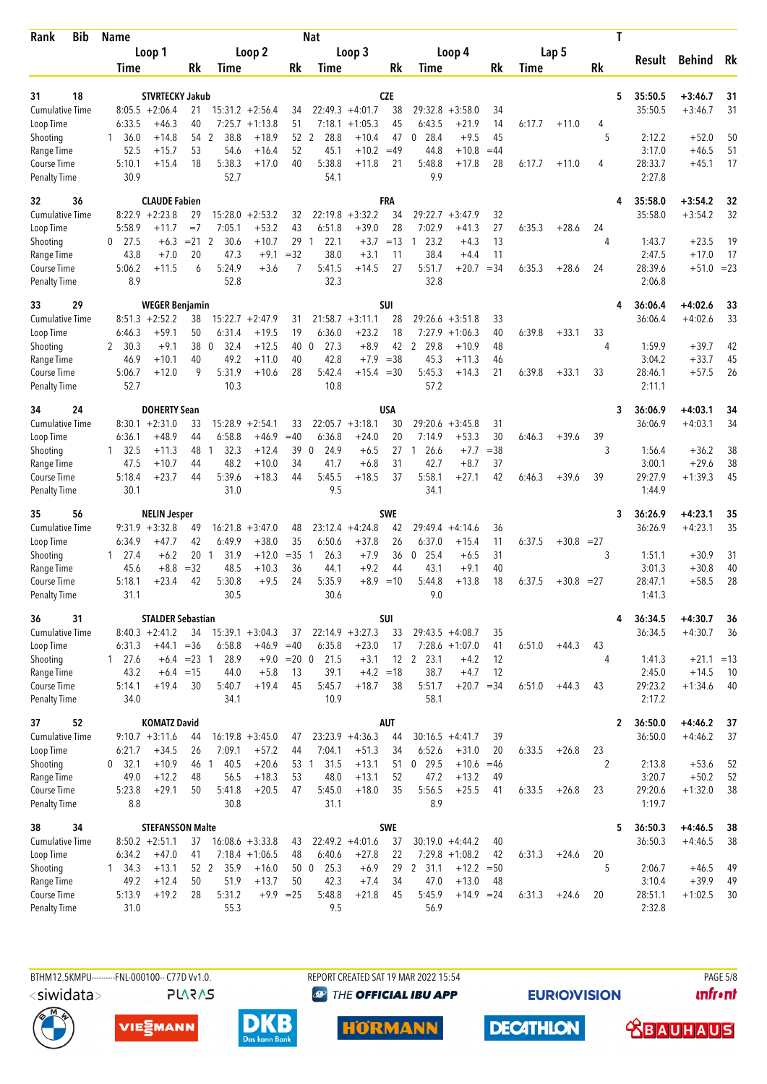| <b>Bib</b><br>Rank                 | <b>Name</b>            |                                              |                |                     |                    |               | <b>Nat</b>                     |                        |                  |                              |                         |             |             |              |                      | T                       |                        |          |
|------------------------------------|------------------------|----------------------------------------------|----------------|---------------------|--------------------|---------------|--------------------------------|------------------------|------------------|------------------------------|-------------------------|-------------|-------------|--------------|----------------------|-------------------------|------------------------|----------|
|                                    |                        | Loop 1                                       |                |                     | Loop <sub>2</sub>  |               |                                | Loop 3                 |                  | Loop 4                       |                         |             |             | Lap 5        |                      | Result                  | <b>Behind</b>          | Rk       |
|                                    | Time                   |                                              | Rk             | Time                |                    | Rk            | Time                           |                        | Rk               | Time                         |                         | Rk          | <b>Time</b> |              | Rk                   |                         |                        |          |
|                                    |                        |                                              |                |                     |                    |               |                                |                        |                  |                              |                         |             |             |              |                      |                         |                        |          |
| 18<br>31<br><b>Cumulative Time</b> |                        | <b>STVRTECKY Jakub</b><br>$8:05.5 + 2:06.4$  | 21             |                     | $15:31.2 +2:56.4$  |               |                                | $22:49.3 +4:01.7$      | <b>CZE</b><br>38 | 29:32.8                      | $+3:58.0$               |             |             |              |                      | 5<br>35:50.5<br>35:50.5 | $+3:46.7$<br>$+3:46.7$ | 31<br>31 |
| Loop Time                          | 6:33.5                 | $+46.3$                                      | 40             |                     | $7:25.7 +1:13.8$   | 34<br>51      | 7:18.1                         | $+1:05.3$              | 45               | 6:43.5                       | $+21.9$                 | 34<br>14    | 6:17.7      | $+11.0$      | 4                    |                         |                        |          |
| Shooting                           | 36.0<br>1              | $+14.8$                                      | 54             | 2<br>38.8           | $+18.9$            | 52            | 2<br>28.8                      | $+10.4$                | 47               | 28.4<br>0                    | $+9.5$                  | 45          |             |              | 5                    | 2:12.2                  | $+52.0$                | 50       |
| Range Time                         | 52.5                   | $+15.7$                                      | 53             | 54.6                | $+16.4$            | 52            | 45.1                           | $+10.2 = 49$           |                  | 44.8                         | $+10.8$                 | $=44$       |             |              |                      | 3:17.0                  | $+46.5$                | 51       |
| Course Time                        | 5:10.1                 | $+15.4$                                      | 18             | 5:38.3              | $+17.0$            | 40            | 5:38.8                         | $+11.8$                | 21               | 5:48.8                       | $+17.8$                 | 28          | 6:17.7      | $+11.0$      | 4                    | 28:33.7                 | $+45.1$                | 17       |
| <b>Penalty Time</b>                | 30.9                   |                                              |                | 52.7                |                    |               | 54.1                           |                        |                  | 9.9                          |                         |             |             |              |                      | 2:27.8                  |                        |          |
| 32<br>36                           |                        | <b>CLAUDE Fabien</b>                         |                |                     |                    |               |                                |                        | <b>FRA</b>       |                              |                         |             |             |              |                      | 35:58.0<br>4            | $+3:54.2$              | 32       |
| <b>Cumulative Time</b>             |                        | $8:22.9$ +2:23.8                             | 29             | 15:28.0             | $+2:53.2$          | 32            | 22:19.8                        | $+3:32.2$              | 34               | 29:22.7                      | $+3:47.9$               | 32          |             |              |                      | 35:58.0                 | $+3:54.2$              | 32       |
| Loop Time                          | 5:58.9                 | +11.7                                        | $=7$           | 7:05.1              | $+53.2$            | 43            | 6:51.8                         | $+39.0$                | 28               | 7:02.9                       | $+41.3$                 | 27          | 6:35.3      | $+28.6$      | 24                   |                         |                        |          |
| Shooting                           | $0$ 27.5<br>43.8       | $+6.3$<br>$+7.0$                             | $= 21$ 2<br>20 | 30.6<br>47.3        | $+10.7$<br>$+9.1$  | 29<br>$= 32$  | 22.1<br>$\overline{1}$<br>38.0 | $+3.7$<br>$+3.1$       | $=13$<br>11      | 23.2<br>$\mathbf{1}$<br>38.4 | $+4.3$<br>$+4.4$        | 13<br>11    |             |              | 4                    | 1:43.7<br>2:47.5        | $+23.5$<br>$+17.0$     | 19<br>17 |
| Range Time<br>Course Time          | 5:06.2                 | $+11.5$                                      | 6              | 5:24.9              | $+3.6$             | 7             | 5:41.5                         | $+14.5$                | 27               | 5:51.7                       | $+20.7$                 | $=34$       | 6:35.3      | $+28.6$      | 24                   | 28:39.6                 | $+51.0 = 23$           |          |
| <b>Penalty Time</b>                | 8.9                    |                                              |                | 52.8                |                    |               | 32.3                           |                        |                  | 32.8                         |                         |             |             |              |                      | 2:06.8                  |                        |          |
| 29<br>33                           |                        | <b>WEGER Benjamin</b>                        |                |                     |                    |               |                                |                        | SUI              |                              |                         |             |             |              |                      | 36:06.4<br>4            | $+4:02.6$              | 33       |
| <b>Cumulative Time</b>             | 8:51.3                 | $+2:52.2$                                    | 38             | 15:22.7             | $+2:47.9$          | 31            |                                | $21:58.7 + 3:11.1$     | 28               | 29:26.6                      | $+3:51.8$               | 33          |             |              |                      | 36:06.4                 | $+4:02.6$              | 33       |
| Loop Time                          | 6:46.3                 | $+59.1$                                      | 50             | 6:31.4              | $+19.5$            | 19            | 6:36.0                         | $+23.2$                | 18               | 7:27.9                       | $+1:06.3$               | 40          | 6:39.8      | $+33.1$      | 33                   |                         |                        |          |
| Shooting                           | 2, 30.3                | $+9.1$                                       | 38             | $\mathbf 0$<br>32.4 | $+12.5$            | 40            | 27.3<br>0                      | $+8.9$                 | 42               | 29.8<br>$\overline{2}$       | $+10.9$                 | 48          |             |              | 4                    | 1:59.9                  | $+39.7$                | 42       |
| Range Time<br>Course Time          | 46.9<br>5:06.7         | $+10.1$<br>$+12.0$                           | 40<br>9        | 49.2<br>5:31.9      | $+11.0$<br>$+10.6$ | 40<br>28      | 42.8<br>5:42.4                 | $+7.9$<br>$+15.4 = 30$ | $=38$            | 45.3<br>5:45.3               | $+11.3$<br>$+14.3$      | 46<br>21    | 6:39.8      | $+33.1$      | 33                   | 3:04.2<br>28:46.1       | $+33.7$<br>$+57.5$     | 45<br>26 |
| <b>Penalty Time</b>                | 52.7                   |                                              |                | 10.3                |                    |               | 10.8                           |                        |                  | 57.2                         |                         |             |             |              |                      | 2:11.1                  |                        |          |
| 24<br>34                           |                        | <b>DOHERTY Sean</b>                          |                |                     |                    |               |                                |                        | <b>USA</b>       |                              |                         |             |             |              |                      | 36:06.9<br>3            | $+4:03.1$              | 34       |
| <b>Cumulative Time</b>             |                        | $8:30.1 + 2:31.0$                            | 33             | 15:28.9             | $+2:54.1$          | 33            |                                | $22:05.7 + 3:18.1$     | 30               | 29:20.6                      | $+3:45.8$               | 31          |             |              |                      | 36:06.9                 | $+4:03.1$              | 34       |
| Loop Time                          | 6:36.1                 | $+48.9$                                      | 44             | 6:58.8              | $+46.9$            | $=40$         | 6:36.8                         | $+24.0$                | 20               | 7:14.9                       | $+53.3$                 | 30          | 6:46.3      | $+39.6$      | 39                   |                         |                        |          |
| Shooting                           | $1 \quad 32.5$         | $+11.3$                                      | 48             | 32.3<br>-1          | $+12.4$            | 39            | 24.9<br>$\mathbf 0$            | $+6.5$                 | 27               | 26.6<br>1                    | $+7.7$                  | $= 38$      |             |              | 3                    | 1:56.4                  | $+36.2$                | 38       |
| Range Time                         | 47.5                   | $+10.7$                                      | 44<br>44       | 48.2<br>5:39.6      | $+10.0$            | 34            | 41.7                           | $+6.8$                 | 31               | 42.7<br>5:58.1               | $+8.7$                  | 37          |             |              |                      | 3:00.1<br>29:27.9       | $+29.6$                | 38       |
| Course Time<br><b>Penalty Time</b> | 5:18.4<br>30.1         | $+23.7$                                      |                | 31.0                | $+18.3$            | 44            | 5:45.5<br>9.5                  | $+18.5$                | 37               | 34.1                         | $+27.1$                 | 42          | 6:46.3      | $+39.6$      | 39                   | 1:44.9                  | $+1:39.3$              | 45       |
| 35<br>56                           |                        | <b>NELIN Jesper</b>                          |                |                     |                    |               |                                |                        | <b>SWE</b>       |                              |                         |             |             |              |                      | 36:26.9<br>3            | $+4:23.1$              | 35       |
| <b>Cumulative Time</b>             |                        | $9:31.9 + 3:32.8$                            | 49             | 16:21.8             | $+3:47.0$          | 48            |                                | $23:12.4 +4:24.8$      | 42               | 29:49.4                      | $+4:14.6$               | 36          |             |              |                      | 36:26.9                 | $+4:23.1$              | 35       |
| Loop Time                          | 6:34.9                 | $+47.7$                                      | 42             | 6:49.9              | $+38.0$            | 35            | 6:50.6                         | $+37.8$                | 26               | 6:37.0                       | $+15.4$                 | 11          | 6:37.5      | $+30.8 = 27$ |                      |                         |                        |          |
| Shooting                           | $1 \quad 27.4$         | $+6.2$                                       | 20             | 31.9<br>1           | $+12.0$            | $=35$ 1       | 26.3                           | $+7.9$                 | 36               | 25.4<br>0                    | $+6.5$                  | 31          |             |              | 3                    | 1:51.1                  | $+30.9$                | 31       |
| Range Time                         | 45.6                   | $+8.8$                                       | $=32$          | 48.5                | $+10.3$            | 36            | 44.1                           | $+9.2$                 | 44               | 43.1                         | $+9.1$                  | 40          |             |              |                      | 3:01.3                  | $+30.8$                | 40       |
| Course Time<br><b>Penalty Time</b> | 5:18.1<br>31.1         | $+23.4$                                      | 42             | 5:30.8<br>30.5      | $+9.5$             | 24            | 5:35.9<br>30.6                 | $+8.9 = 10$            |                  | 5:44.8<br>9.0                | $+13.8$                 | 18          | 6:37.5      | $+30.8 = 27$ |                      | 28:47.1<br>1:41.3       | $+58.5$                | 28       |
|                                    |                        |                                              |                |                     |                    |               |                                |                        |                  |                              |                         |             |             |              |                      |                         |                        |          |
| 31<br>36<br>Cumulative Time        |                        | <b>STALDER Sebastian</b><br>$8:40.3 +2:41.2$ | 34             |                     | $15:39.1 + 3:04.3$ | 37            |                                | $22:14.9 + 3:27.3$     | SUI<br>33        | $29:43.5 +4:08.7$            |                         | 35          |             |              |                      | 36:34.5<br>4<br>36:34.5 | $+4:30.7$<br>$+4:30.7$ | 36<br>36 |
| Loop Time                          | 6:31.3                 | +44.1                                        | $= 36$         | 6:58.8              | $+46.9 = 40$       |               | 6:35.8                         | $+23.0$                | 17               | $7:28.6 + 1:07.0$            |                         | 41          | 6:51.0      | $+44.3$      | 43                   |                         |                        |          |
| Shooting                           | $1 \t27.6$             |                                              | $+6.4$ = 23 1  | 28.9                |                    | $+9.0 = 20 0$ | 21.5                           | $+3.1$                 |                  | 12 2 23.1                    | $+4.2$                  | 12          |             |              | 4                    | 1:41.3                  | $+21.1 = 13$           |          |
| Range Time                         | 43.2                   |                                              | $+6.4 = 15$    | 44.0                | $+5.8$             | 13            | 39.1                           | $+4.2 = 18$            |                  | 38.7                         | $+4.7$                  | 12          |             |              |                      | 2:45.0                  | $+14.5$                | 10       |
| Course Time                        | 5:14.1                 | $+19.4$                                      | 30             | 5:40.7              | $+19.4$            | 45            | 5:45.7                         | $+18.7$                | 38               | 5:51.7                       | $+20.7 = 34$            |             | 6:51.0      | $+44.3$      | 43                   | 29:23.2                 | $+1:34.6$              | 40       |
| <b>Penalty Time</b>                | 34.0                   |                                              |                | 34.1                |                    |               | 10.9                           |                        |                  | 58.1                         |                         |             |             |              |                      | 2:17.2                  |                        |          |
| 52<br>37                           |                        | <b>KOMATZ David</b>                          |                |                     |                    |               |                                |                        | AUT              |                              |                         |             |             |              |                      | 36:50.0<br>$\mathbf{2}$ | $+4:46.2$              | 37       |
| <b>Cumulative Time</b>             |                        | $9:10.7 + 3:11.6$                            | 44             |                     | $16:19.8 + 3:45.0$ | 47            |                                | $23:23.9 +4:36.3$      | 44               | $30:16.5 +4:41.7$            |                         | 39          |             |              |                      | 36:50.0                 | $+4:46.2$              | 37       |
| Loop Time<br>Shooting              | 6:21.7                 | $+34.5$                                      | 26             | 7:09.1              | $+57.2$            | 44            | 7:04.1                         | $+51.3$                | 34               | 6:52.6                       | $+31.0$<br>$+10.6$      | 20          | 6:33.5      | $+26.8$      | 23<br>$\overline{2}$ |                         |                        |          |
| Range Time                         | $0$ 32.1<br>49.0       | $+10.9$<br>$+12.2$                           | 46 1<br>48     | 40.5<br>56.5        | $+20.6$<br>$+18.3$ | 53 1<br>53    | 31.5<br>48.0                   | $+13.1$<br>$+13.1$     | 51<br>52         | $0$ 29.5<br>47.2             | $+13.2$                 | $=46$<br>49 |             |              |                      | 2:13.8<br>3:20.7        | $+53.6$<br>$+50.2$     | 52<br>52 |
| Course Time                        | 5:23.8                 | $+29.1$                                      | 50             | 5:41.8              | $+20.5$            | 47            | 5:45.0                         | $+18.0$                | 35               | 5:56.5                       | $+25.5$                 | 41          | 6:33.5      | $+26.8$      | 23                   | 29:20.6                 | $+1:32.0$              | 38       |
| <b>Penalty Time</b>                | 8.8                    |                                              |                | 30.8                |                    |               | 31.1                           |                        |                  | 8.9                          |                         |             |             |              |                      | 1:19.7                  |                        |          |
| 34<br>38                           |                        | <b>STEFANSSON Malte</b>                      |                |                     |                    |               |                                |                        | SWE              |                              |                         |             |             |              |                      | 5<br>36:50.3            | $+4:46.5$              | 38       |
| <b>Cumulative Time</b>             |                        | $8:50.2 +2:51.1$                             | 37             |                     | $16:08.6 + 3:33.8$ | 43            |                                | $22:49.2 +4:01.6$      | 37               | $30:19.0 +4:44.2$            |                         | 40          |             |              |                      | 36:50.3                 | $+4:46.5$              | 38       |
| Loop Time                          | 6:34.2                 | $+47.0$                                      | 41             |                     | $7:18.4 +1:06.5$   | 48            | 6:40.6                         | $+27.8$                | 22               | $7:29.8 +1:08.2$             |                         | 42          | 6:31.3      | $+24.6$      | 20                   |                         |                        |          |
| Shooting<br>Range Time             | $1 \quad 34.3$<br>49.2 | $+13.1$<br>$+12.4$                           | 52 2<br>50     | 35.9<br>51.9        | $+16.0$<br>$+13.7$ | 50 0<br>50    | 25.3<br>42.3                   | $+6.9$<br>$+7.4$       | 29<br>34         | 2 31.1<br>47.0               | $+12.2 = 50$<br>$+13.0$ | 48          |             |              | 5                    | 2:06.7<br>3:10.4        | $+46.5$<br>$+39.9$     | 49<br>49 |
| Course Time                        | 5:13.9                 | $+19.2$                                      | 28             | 5:31.2              |                    | $+9.9 = 25$   | 5:48.8                         | $+21.8$                | 45               | 5:45.9                       | $+14.9 = 24$            |             | 6:31.3      | $+24.6$      | 20                   | 28:51.1                 | $+1:02.5$              | 30       |
| <b>Penalty Time</b>                | 31.0                   |                                              |                | 55.3                |                    |               | 9.5                            |                        |                  | 56.9                         |                         |             |             |              |                      | 2:32.8                  |                        |          |
|                                    |                        |                                              |                |                     |                    |               |                                |                        |                  |                              |                         |             |             |              |                      |                         |                        |          |

**PLARAS** 

BTHM12.5KMPU----------FNL-000100-- C77D Vv1.0. REPORT CREATED SAT 19 MAR 2022 15:54 PAGE 5/8 <sup><sup>9</sup> THE OFFICIAL IBU APP</sup>

**EURIOVISION** 

*<u><u>Infront</u>*</u>









**DECATHLON** 

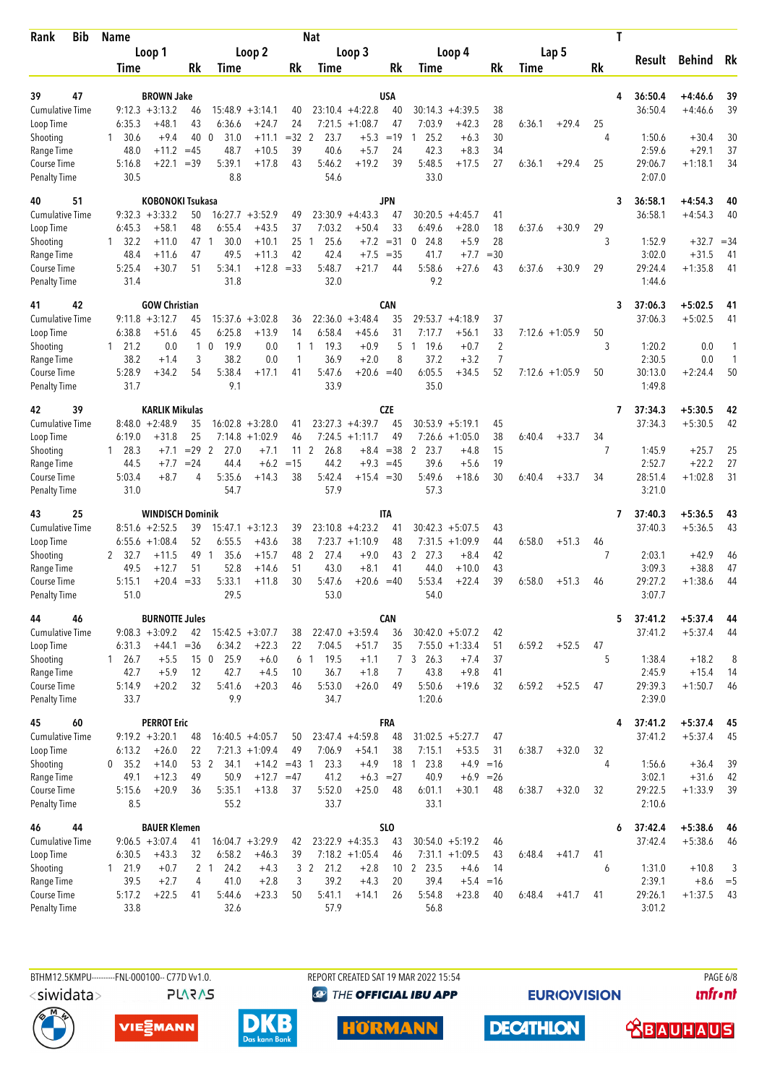| Rank                                      | Bib | <b>Name</b>              |                                           |                    |                                  |                                       |              | <b>Nat</b>           |                               |                            |                                  |                                         |                |        |                   |         | T |                    |                        |          |
|-------------------------------------------|-----|--------------------------|-------------------------------------------|--------------------|----------------------------------|---------------------------------------|--------------|----------------------|-------------------------------|----------------------------|----------------------------------|-----------------------------------------|----------------|--------|-------------------|---------|---|--------------------|------------------------|----------|
|                                           |     |                          | Loop 1                                    |                    |                                  | Loop 2                                |              |                      | Loop 3                        |                            |                                  | Loop 4                                  |                |        | Lap 5             |         |   | Result             | <b>Behind</b>          | Rk       |
|                                           |     | Time                     |                                           | Rk                 | Time                             |                                       | Rk           | Time                 |                               | Rk                         | Time                             |                                         | Rk             | Time   |                   | Rk      |   |                    |                        |          |
| 47<br>39                                  |     |                          | <b>BROWN Jake</b>                         |                    |                                  |                                       |              |                      |                               | <b>USA</b>                 |                                  |                                         |                |        |                   |         | 4 | 36:50.4            | +4:46.6                | 39       |
| <b>Cumulative Time</b>                    |     |                          | $9:12.3 + 3:13.2$                         | 46                 |                                  | $15:48.9 + 3:14.1$                    | 40           |                      | $23:10.4 +4:22.8$             | 40                         | 30:14.3                          | $+4:39.5$                               | 38             |        |                   |         |   | 36:50.4            | $+4:46.6$              | 39       |
| Loop Time                                 |     | 6:35.3                   | $+48.1$                                   | 43                 | 6:36.6                           | $+24.7$                               | 24           |                      | $7:21.5 +1:08.7$              | 47                         | 7:03.9                           | $+42.3$                                 | 28             | 6:36.1 | $+29.4$           | 25      |   |                    |                        |          |
| Shooting                                  |     | 30.6<br>1                | $+9.4$                                    | 40                 | $\mathbf 0$<br>31.0              | $+11.1$                               | $=32$        | 2<br>23.7            | $+5.3$                        | $=19$                      | 25.2<br>1                        | $+6.3$                                  | 30             |        |                   | 4       |   | 1:50.6             | $+30.4$                | 30       |
| Range Time                                |     | 48.0                     | $+11.2 = 45$                              |                    | 48.7                             | $+10.5$                               | 39           | 40.6                 | $+5.7$                        | 24                         | 42.3                             | $+8.3$                                  | 34             |        |                   |         |   | 2:59.6             | $+29.1$                | 37       |
| <b>Course Time</b><br><b>Penalty Time</b> |     | 5:16.8<br>30.5           | $+22.1$                                   | $=39$              | 5:39.1<br>8.8                    | $+17.8$                               | 43           | 5:46.2<br>54.6       | $+19.2$                       | 39                         | 5:48.5<br>33.0                   | $+17.5$                                 | 27             | 6:36.1 | $+29.4$           | 25      |   | 29:06.7<br>2:07.0  | $+1:18.1$              | 34       |
| 51<br>40                                  |     |                          | <b>KOBONOKI Tsukasa</b>                   |                    |                                  |                                       |              |                      |                               | <b>JPN</b>                 |                                  |                                         |                |        |                   |         | 3 | 36:58.1            | $+4:54.3$              | 40       |
| <b>Cumulative Time</b>                    |     |                          | $9:32.3 +3:33.2$                          | 50                 |                                  | $16:27.7 + 3:52.9$                    | 49           | 23:30.9              | $+4:43.3$                     | 47                         | 30:20.5                          | $+4:45.7$                               | 41             |        |                   |         |   | 36:58.1            | $+4:54.3$              | 40       |
| Loop Time<br>Shooting                     |     | 6:45.3<br>$1 \quad 32.2$ | $+58.1$<br>$+11.0$                        | 48<br>47           | 6:55.4<br>30.0<br>-1             | $+43.5$<br>$+10.1$                    | 37<br>25     | 7:03.2<br>25.6<br>1  | $+50.4$<br>$+7.2$             | 33<br>$= 31$               | 6:49.6<br>24.8<br>$\mathbf 0$    | $+28.0$<br>$+5.9$                       | 18<br>28       | 6:37.6 | $+30.9$           | 29<br>3 |   | 1:52.9             | $+32.7$                | $= 34$   |
| Range Time                                |     | 48.4                     | $+11.6$                                   | 47                 | 49.5                             | $+11.3$                               | 42           | 42.4                 | $+7.5$                        | $=35$                      | 41.7                             | $+7.7$                                  | $= 30$         |        |                   |         |   | 3:02.0             | $+31.5$                | 41       |
| Course Time                               |     | 5:25.4                   | $+30.7$                                   | 51                 | 5:34.1                           | $+12.8$                               | $=33$        | 5:48.7               | $+21.7$                       | 44                         | 5:58.6                           | $+27.6$                                 | 43             | 6:37.6 | $+30.9$           | 29      |   | 29:24.4            | $+1:35.8$              | 41       |
| <b>Penalty Time</b>                       |     | 31.4                     |                                           |                    | 31.8                             |                                       |              | 32.0                 |                               |                            | 9.2                              |                                         |                |        |                   |         |   | 1:44.6             |                        |          |
| 42<br>41                                  |     |                          | <b>GOW Christian</b><br>$9:11.8 + 3:12.7$ | 45                 | 15:37.6                          | $+3:02.8$                             |              |                      | $+3:48.4$                     | CAN<br>35                  | 29:53.7                          | $+4:18.9$                               | 37             |        |                   |         | 3 | 37:06.3<br>37:06.3 | $+5:02.5$<br>$+5:02.5$ | 41<br>41 |
| <b>Cumulative Time</b><br>Loop Time       |     | 6:38.8                   | $+51.6$                                   | 45                 | 6:25.8                           | $+13.9$                               | 36<br>14     | 22:36.0<br>6:58.4    | $+45.6$                       | 31                         | 7:17.7                           | $+56.1$                                 | 33             |        | $7:12.6 +1:05.9$  | 50      |   |                    |                        |          |
| Shooting                                  |     | $1 \quad 21.2$           | 0.0                                       |                    | $1\quad0$<br>19.9                | 0.0                                   | $\mathbf{1}$ | 19.3<br>$\mathbf{1}$ | $+0.9$                        | 5                          | 19.6<br>$\mathbf{1}$             | $+0.7$                                  | $\overline{2}$ |        |                   | 3       |   | 1:20.2             | 0.0                    | 1        |
| Range Time                                |     | 38.2                     | $+1.4$                                    | 3                  | 38.2                             | 0.0                                   | 1            | 36.9                 | $+2.0$                        | 8                          | 37.2                             | $+3.2$                                  | $\overline{7}$ |        |                   |         |   | 2:30.5             | 0.0                    | 1        |
| Course Time<br><b>Penalty Time</b>        |     | 5:28.9<br>31.7           | +34.2                                     | 54                 | 5:38.4<br>9.1                    | $+17.1$                               | 41           | 5:47.6<br>33.9       | $+20.6 = 40$                  |                            | 6:05.5<br>35.0                   | $+34.5$                                 | 52             |        | $7:12.6 + 1:05.9$ | 50      |   | 30:13.0<br>1:49.8  | $+2:24.4$              | 50       |
| 39<br>42                                  |     |                          | <b>KARLIK Mikulas</b>                     |                    |                                  |                                       |              |                      |                               | <b>CZE</b>                 |                                  |                                         |                |        |                   |         | 7 | 37:34.3            | $+5:30.5$              | 42       |
| <b>Cumulative Time</b>                    |     |                          | $8:48.0 + 2:48.9$                         | 35                 |                                  | $16:02.8 + 3:28.0$                    | 41           |                      | $23:27.3 +4:39.7$             | 45                         |                                  | $30:53.9 + 5:19.1$                      | 45             |        |                   |         |   | 37:34.3            | $+5:30.5$              | 42       |
| Loop Time                                 |     | 6:19.0                   | $+31.8$                                   | 25                 | 7:14.8                           | $+1:02.9$                             | 46           | 7:24.5               | $+1:11.7$                     | 49                         | 7:26.6                           | $+1:05.0$                               | 38             | 6:40.4 | $+33.7$           | 34      |   |                    |                        |          |
| Shooting<br>Range Time                    |     | 1 28.3<br>44.5           | $+7.1$<br>$+7.7$                          | $= 29$ 2<br>$= 24$ | 27.0<br>44.4                     | $+7.1$<br>$+6.2$                      | 11<br>$=15$  | 2<br>26.8<br>44.2    |                               | $+8.4 = 38$<br>$+9.3 = 45$ | 23.7<br>2<br>39.6                | $+4.8$<br>$+5.6$                        | 15<br>19       |        |                   | 7       |   | 1:45.9<br>2:52.7   | $+25.7$<br>$+22.2$     | 25<br>27 |
| Course Time                               |     | 5:03.4                   | $+8.7$                                    | 4                  | 5:35.6                           | $+14.3$                               | 38           | 5:42.4               | $+15.4 = 30$                  |                            | 5:49.6                           | $+18.6$                                 | 30             | 6:40.4 | $+33.7$           | 34      |   | 28:51.4            | $+1:02.8$              | 31       |
| <b>Penalty Time</b>                       |     | 31.0                     |                                           |                    | 54.7                             |                                       |              | 57.9                 |                               |                            | 57.3                             |                                         |                |        |                   |         |   | 3:21.0             |                        |          |
| 25<br>43                                  |     |                          | <b>WINDISCH Dominik</b>                   |                    |                                  |                                       |              |                      |                               | <b>ITA</b>                 |                                  |                                         |                |        |                   |         | 7 | 37:40.3            | $+5:36.5$              | 43       |
| <b>Cumulative Time</b>                    |     |                          | $8:51.6 + 2:52.5$                         | 39                 |                                  | $15:47.1 + 3:12.3$                    | 39           |                      | $23:10.8 + 4:23.2$            | 41                         |                                  | $30:42.3 + 5:07.5$                      | 43             |        |                   |         |   | 37:40.3            | $+5:36.5$              | 43       |
| Loop Time<br>Shooting                     |     | 6:55.6<br>2 32.7         | $+1:08.4$<br>$+11.5$                      | 52<br>49           | 6:55.5<br>35.6<br>$\overline{1}$ | $+43.6$<br>$+15.7$                    | 38<br>48     | 2<br>27.4            | $7:23.7 +1:10.9$<br>$+9.0$    | 48<br>43                   | 7:31.5<br>$\overline{2}$<br>27.3 | $+1:09.9$<br>$+8.4$                     | 44<br>42       | 6:58.0 | $+51.3$           | 46<br>7 |   | 2:03.1             | $+42.9$                | 46       |
| Range Time                                |     | 49.5                     | $+12.7$                                   | 51                 | 52.8                             | $+14.6$                               | 51           | 43.0                 | $+8.1$                        | 41                         | 44.0                             | $+10.0$                                 | 43             |        |                   |         |   | 3:09.3             | $+38.8$                | 47       |
| Course Time                               |     | 5:15.1                   | $+20.4$                                   | $=33$              | 5:33.1                           | $+11.8$                               | 30           | 5:47.6               | $+20.6 = 40$                  |                            | 5:53.4                           | $+22.4$                                 | 39             | 6:58.0 | $+51.3$           | 46      |   | 29:27.2            | $+1:38.6$              | 44       |
| <b>Penalty Time</b>                       |     | 51.0                     |                                           |                    | 29.5                             |                                       |              | 53.0                 |                               |                            | 54.0                             |                                         |                |        |                   |         |   | 3:07.7             |                        |          |
| 46<br>44                                  |     |                          | <b>BURNOTTE Jules</b>                     |                    |                                  |                                       |              |                      |                               | <b>CAN</b>                 |                                  |                                         |                |        |                   |         | 5 | 37:41.2            | $+5:37.4$              | 44       |
| <b>Cumulative Time</b><br>Loop Time       |     | 6:31.3                   | $9:08.3 +3:09.2$                          | 42<br>$= 36$       | 6:34.2                           | $15:42.5 + 3:07.7$<br>$+22.3$         | 38<br>22     | 7:04.5               | $22:47.0 + 3:59.4$<br>$+51.7$ | 36<br>35                   |                                  | $30:42.0 + 5:07.2$<br>$7:55.0 + 1:33.4$ | 42             |        |                   | 47      |   | 37:41.2            | $+5:37.4$              | 44       |
| Shooting                                  |     | $1 \t26.7$               | $+44.1$<br>$+5.5$                         |                    | 15 0 25.9                        | $+6.0$                                |              | 6 1 19.5             | $+1.1$                        | 7 <sup>7</sup>             | 3, 26.3                          | $+7.4$                                  | 51<br>37       | 6:59.2 | $+52.5$           | 5       |   | 1:38.4             | $+18.2$                | 8        |
| Range Time                                |     | 42.7                     | $+5.9$                                    | 12                 | 42.7                             | $+4.5$                                | 10           | 36.7                 | $+1.8$                        | 7                          | 43.8                             | $+9.8$                                  | 41             |        |                   |         |   | 2:45.9             | $+15.4$                | 14       |
| Course Time                               |     | 5:14.9                   | $+20.2$                                   | 32                 | 5:41.6                           | $+20.3$                               | 46           | 5:53.0               | $+26.0$                       | 49                         | 5:50.6                           | $+19.6$                                 | 32             | 6:59.2 | $+52.5$           | 47      |   | 29:39.3            | $+1:50.7$              | 46       |
| <b>Penalty Time</b>                       |     | 33.7                     |                                           |                    | 9.9                              |                                       |              | 34.7                 |                               |                            | 1:20.6                           |                                         |                |        |                   |         |   | 2:39.0             |                        |          |
| 45                                        | 60  |                          | <b>PERROT Eric</b>                        |                    |                                  |                                       |              |                      |                               | <b>FRA</b>                 |                                  |                                         |                |        |                   |         | 4 | 37:41.2            | $+5:37.4$              | 45       |
| <b>Cumulative Time</b><br>Loop Time       |     | 6:13.2                   | $9:19.2 + 3:20.1$<br>$+26.0$              | 48<br>22           |                                  | $16:40.5 +4:05.7$<br>$7:21.3 +1:09.4$ | 50<br>49     | 7:06.9               | $23:47.4 +4:59.8$<br>$+54.1$  | 48<br>38                   | 7:15.1                           | $31:02.5 + 5:27.7$<br>$+53.5$           | 47<br>31       | 6:38.7 | $+32.0$           | 32      |   | 37:41.2            | $+5:37.4$              | 45       |
| Shooting                                  |     | 0, 35.2                  | $+14.0$                                   | 53 2               | 34.1                             | $+14.2 = 43$ 1                        |              | 23.3                 | $+4.9$                        | 18                         | 23.8<br>$\overline{1}$           | $+4.9 = 16$                             |                |        |                   | 4       |   | 1:56.6             | $+36.4$                | 39       |
| Range Time                                |     | 49.1                     | $+12.3$                                   | 49                 | 50.9                             | $+12.7 = 47$                          |              | 41.2                 | $+6.3 = 27$                   |                            | 40.9                             | $+6.9$                                  | $=26$          |        |                   |         |   | 3:02.1             | $+31.6$                | 42       |
| Course Time                               |     | 5:15.6                   | $+20.9$                                   | 36                 | 5:35.1                           | $+13.8$                               | 37           | 5:52.0               | $+25.0$                       | 48                         | 6:01.1                           | $+30.1$                                 | 48             | 6:38.7 | $+32.0$           | 32      |   | 29:22.5            | $+1:33.9$              | 39       |
| <b>Penalty Time</b>                       |     | 8.5                      |                                           |                    | 55.2                             |                                       |              | 33.7                 |                               |                            | 33.1                             |                                         |                |        |                   |         |   | 2:10.6             |                        |          |
| 46<br>44                                  |     |                          | <b>BAUER Klemen</b>                       |                    |                                  |                                       |              |                      | $23:22.9 +4:35.3$             | <b>SLO</b>                 |                                  |                                         |                |        |                   |         | 6 | 37:42.4<br>37:42.4 | $+5:38.6$              | 46       |
| <b>Cumulative Time</b><br>Loop Time       |     | 6:30.5                   | $9:06.5 + 3:07.4$<br>$+43.3$              | 41<br>32           | 6:58.2                           | $16:04.7 + 3:29.9$<br>$+46.3$         | 42<br>39     |                      | $7:18.2 +1:05.4$              | 43<br>46                   |                                  | $30:54.0 + 5:19.2$<br>$7:31.1 +1:09.5$  | 46<br>43       | 6:48.4 | $+41.7$           | 41      |   |                    | $+5:38.6$              | 46       |
| Shooting                                  |     | 121.9                    | $+0.7$                                    |                    | 2 <sub>1</sub><br>24.2           | $+4.3$                                |              | 3 2 21.2             | $+2.8$                        |                            | 10 2 23.5                        | $+4.6$                                  | 14             |        |                   | 6       |   | 1:31.0             | $+10.8$                | 3        |
| Range Time                                |     | 39.5                     | $+2.7$                                    | 4                  | 41.0                             | $+2.8$                                | 3            | 39.2                 | $+4.3$                        | 20                         | 39.4                             | $+5.4$                                  | $=16$          |        |                   |         |   | 2:39.1             | $+8.6$                 | $=$ 5    |
| Course Time                               |     | 5:17.2                   | $+22.5$                                   | 41                 | 5:44.6                           | $+23.3$                               | 50           | 5:41.1               | $+14.1$                       | 26                         | 5:54.8                           | $+23.8$                                 | 40             | 6:48.4 | $+41.7$           | 41      |   | 29:26.1            | $+1:37.5$              | 43       |
| <b>Penalty Time</b>                       |     | 33.8                     |                                           |                    | 32.6                             |                                       |              | 57.9                 |                               |                            | 56.8                             |                                         |                |        |                   |         |   | 3:01.2             |                        |          |

**PLARAS** 

BTHM12.5KMPU----------FNL-000100-- C77D Vv1.0. REPORT CREATED SAT 19 MAR 2022 15:54 PAGE 6/8 <sup><sup>9</sup> THE OFFICIAL IBU APP</sup>

**HÖRMANN** 

**EURIOVISION** 

*<u><u>Infront</u>*</u>







**DECATHLON** 

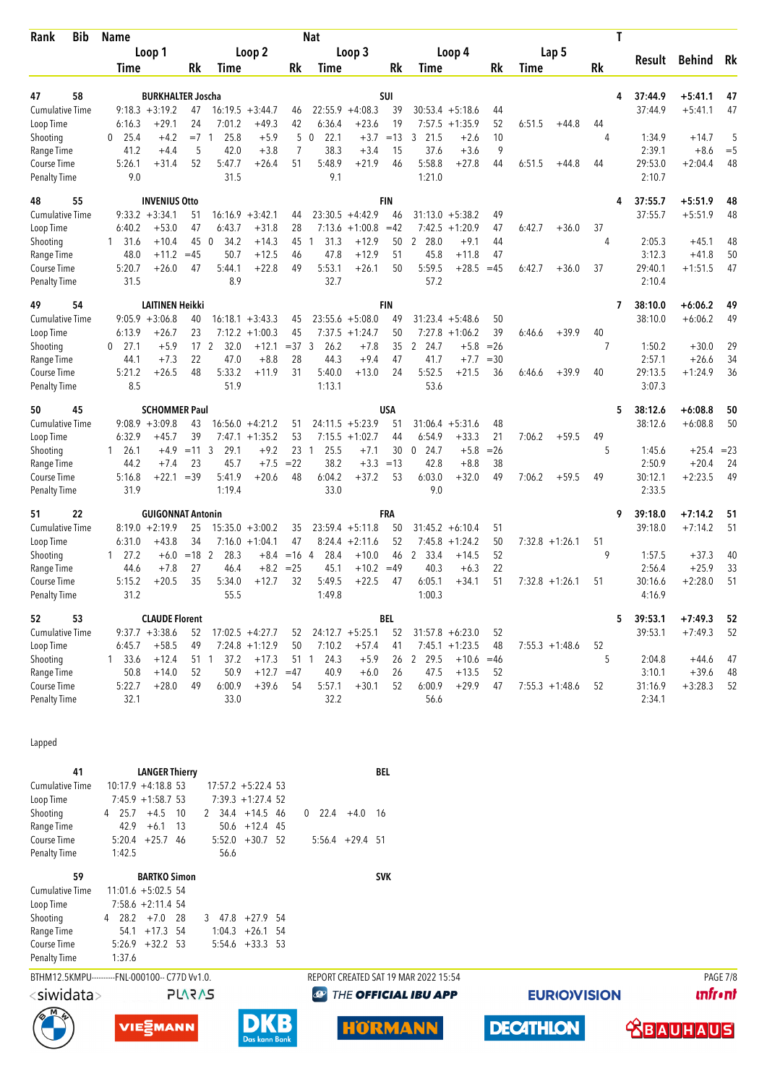| <b>Bib</b><br>Rank                            | <b>Name</b>                    |                          |                       |                                |                                   |                | <b>Nat</b>                     |                            |             |                                      |                      |             |                  |                     |           | Τ |         |               |                 |
|-----------------------------------------------|--------------------------------|--------------------------|-----------------------|--------------------------------|-----------------------------------|----------------|--------------------------------|----------------------------|-------------|--------------------------------------|----------------------|-------------|------------------|---------------------|-----------|---|---------|---------------|-----------------|
|                                               | Time                           | Loop 1                   | Rk                    | <b>Time</b>                    | Loop 2                            | Rk             | <b>Time</b>                    | Loop 3                     | Rk          | <b>Time</b>                          | Loop 4               | Rk          | Time             | Lap <sub>5</sub>    | <b>Rk</b> |   | Result  | <b>Behind</b> | Rk              |
|                                               |                                |                          |                       |                                |                                   |                |                                |                            |             |                                      |                      |             |                  |                     |           |   |         |               |                 |
| 58<br>47                                      |                                | <b>BURKHALTER Joscha</b> |                       |                                |                                   |                |                                |                            | SUI         |                                      |                      |             |                  |                     |           | 4 | 37:44.9 | $+5:41.1$     | 47              |
| <b>Cumulative Time</b>                        | $9:18.3 + 3:19.2$              |                          | 47                    |                                | $16:19.5 + 3:44.7$                | 46             | 22:55.9                        | $+4:08.3$                  | 39          |                                      | $30:53.4 + 5:18.6$   | 44          |                  |                     |           |   | 37:44.9 | $+5:41.1$     | 47              |
| Loop Time<br>Shooting                         | 6:16.3<br>$\mathbf{0}$<br>25.4 | $+29.1$<br>$+4.2$        | 24<br>$=7$            | 7:01.2<br>25.8<br>$\mathbf{1}$ | $+49.3$<br>$+5.9$                 | 42<br>5        | 6:36.4<br>$\mathbf{0}$<br>22.1 | $+23.6$<br>$+3.7$          | 19<br>$=13$ | 7:57.5<br>3<br>21.5                  | $+1:35.9$<br>$+2.6$  | 52<br>10    | 6:51.5           | $+44.8$             | 44<br>4   |   | 1:34.9  | $+14.7$       | 5               |
| Range Time                                    | 41.2                           | $+4.4$                   | 5                     | 42.0                           | $+3.8$                            | $\overline{7}$ | 38.3                           | $+3.4$                     | 15          | 37.6                                 | $+3.6$               | 9           |                  |                     |           |   | 2:39.1  | $+8.6$        | $= 5$           |
| Course Time                                   | 5:26.1                         | $+31.4$                  | 52                    | 5:47.7                         | $+26.4$                           | 51             | 5:48.9                         | $+21.9$                    | 46          | 5:58.8                               | $+27.8$              | 44          | 6:51.5           | $+44.8$             | 44        |   | 29:53.0 | $+2:04.4$     | 48              |
| <b>Penalty Time</b>                           | 9.0                            |                          |                       | 31.5                           |                                   |                | 9.1                            |                            |             | 1:21.0                               |                      |             |                  |                     |           |   | 2:10.7  |               |                 |
| 55<br>48                                      |                                | <b>INVENIUS Otto</b>     |                       |                                |                                   |                |                                |                            | <b>FIN</b>  |                                      |                      |             |                  |                     |           | 4 | 37:55.7 | +5:51.9       | 48              |
| <b>Cumulative Time</b>                        | $9:33.2 +3:34.1$               |                          | 51                    | 16:16.9                        | $+3:42.1$                         | 44             |                                | $23:30.5 +4:42.9$          | 46          |                                      | $31:13.0 + 5:38.2$   | 49          |                  |                     |           |   | 37:55.7 | $+5:51.9$     | 48              |
| Loop Time<br>Shooting                         | 6:40.2<br>$1 \quad 31.6$       | $+53.0$<br>$+10.4$       | 47<br>45              | 6:43.7<br>34.2<br>0            | $+31.8$<br>$+14.3$                | 28<br>45       | 7:13.6<br>31.3<br>$\mathbf{1}$ | $+1:00.8$<br>$+12.9$       | $=42$<br>50 | 7:42.5<br>2 28.0                     | $+1:20.9$<br>$+9.1$  | 47<br>44    | 6:42.7           | $+36.0$             | 37<br>4   |   | 2:05.3  | $+45.1$       | 48              |
| Range Time                                    | 48.0                           | $+11.2$                  | $=45$                 | 50.7                           | $+12.5$                           | 46             | 47.8                           | $+12.9$                    | 51          | 45.8                                 | $+11.8$              | 47          |                  |                     |           |   | 3:12.3  | $+41.8$       | 50              |
| Course Time                                   | 5:20.7                         | $+26.0$                  | 47                    | 5:44.1                         | $+22.8$                           | 49             | 5:53.1                         | $+26.1$                    | 50          | 5:59.5                               | $+28.5$              | $=45$       | 6:42.7           | $+36.0$             | 37        |   | 29:40.1 | $+1:51.5$     | 47              |
| <b>Penalty Time</b>                           | 31.5                           |                          |                       | 8.9                            |                                   |                | 32.7                           |                            |             | 57.2                                 |                      |             |                  |                     |           |   | 2:10.4  |               |                 |
| 54<br>49                                      |                                | <b>LAITINEN Heikki</b>   |                       |                                |                                   |                |                                |                            | <b>FIN</b>  |                                      |                      |             |                  |                     |           | 7 | 38:10.0 | $+6:06.2$     | 49              |
| <b>Cumulative Time</b>                        | $9:05.9 + 3:06.8$              |                          | 40                    |                                | $16:18.1 + 3:43.3$                | 45             |                                | $23:55.6 + 5:08.0$         | 49          |                                      | $31:23.4 + 5:48.6$   | 50          |                  |                     |           |   | 38:10.0 | $+6:06.2$     | 49              |
| Loop Time<br>Shooting                         | 6:13.9<br>27.1<br>$\mathbf{0}$ | $+26.7$<br>$+5.9$        | 23<br>17 <sup>2</sup> | 32.0                           | $7:12.2 +1:00.3$<br>$+12.1$       | 45<br>$=37.3$  | 26.2                           | $7:37.5 +1:24.7$<br>$+7.8$ | 50<br>35    | 7:27.8<br>2<br>24.7                  | $+1:06.2$<br>$+5.8$  | 39<br>$=26$ | 6:46.6           | $+39.9$             | 40<br>7   |   | 1:50.2  | $+30.0$       | 29              |
| Range Time                                    | 44.1                           | $+7.3$                   | 22                    | 47.0                           | $+8.8$                            | 28             | 44.3                           | $+9.4$                     | 47          | 41.7                                 | $+7.7$               | $=30$       |                  |                     |           |   | 2:57.1  | $+26.6$       | 34              |
| Course Time                                   | 5:21.2                         | $+26.5$                  | 48                    | 5:33.2                         | $+11.9$                           | 31             | 5:40.0                         | $+13.0$                    | 24          | 5:52.5                               | $+21.5$              | 36          | 6:46.6           | $+39.9$             | 40        |   | 29:13.5 | $+1:24.9$     | 36              |
| <b>Penalty Time</b>                           | 8.5                            |                          |                       | 51.9                           |                                   |                | 1:13.1                         |                            |             | 53.6                                 |                      |             |                  |                     |           |   | 3:07.3  |               |                 |
| 45<br>50                                      |                                | <b>SCHOMMER Paul</b>     |                       |                                |                                   |                |                                |                            | USA         |                                      |                      |             |                  |                     |           | 5 | 38:12.6 | $+6:08.8$     | 50              |
| <b>Cumulative Time</b>                        | $9:08.9 + 3:09.8$              |                          | 43                    | 16:56.0                        | $+4:21.2$                         | 51             |                                | $24:11.5 + 5:23.9$         | 51          |                                      | $31:06.4 + 5:31.6$   | 48          |                  |                     |           |   | 38:12.6 | $+6:08.8$     | 50              |
| Loop Time<br>Shooting                         | 6:32.9<br>$1 \quad 26.1$       | $+45.7$<br>$+4.9$        | 39<br>$=11 \ 3$       | 29.1                           | $7:47.1 + 1:35.2$<br>$+9.2$       | 53<br>23       | 25.5<br>$\mathbf{1}$           | $7:15.5 +1:02.7$<br>$+7.1$ | 44<br>30    | 6:54.9<br>24.7<br>0                  | $+33.3$<br>$+5.8$    | 21<br>$=26$ | 7:06.2           | $+59.5$             | 49<br>5   |   | 1:45.6  | $+25.4$       | $= 23$          |
| Range Time                                    | 44.2                           | $+7.4$                   | 23                    | 45.7                           | $+7.5$                            | $= 22$         | 38.2                           | $+3.3$                     | $=13$       | 42.8                                 | $+8.8$               | 38          |                  |                     |           |   | 2:50.9  | $+20.4$       | 24              |
| <b>Course Time</b>                            | 5:16.8                         | $+22.1$                  | $=39$                 | 5:41.9                         | $+20.6$                           | 48             | 6:04.2                         | $+37.2$                    | 53          | 6:03.0                               | $+32.0$              | 49          | 7:06.2           | $+59.5$             | 49        |   | 30:12.1 | $+2:23.5$     | 49              |
| <b>Penalty Time</b>                           | 31.9                           |                          |                       | 1:19.4                         |                                   |                | 33.0                           |                            |             | 9.0                                  |                      |             |                  |                     |           |   | 2:33.5  |               |                 |
| 22<br>51                                      |                                | <b>GUIGONNAT Antonin</b> |                       |                                |                                   |                |                                |                            | <b>FRA</b>  |                                      |                      |             |                  |                     |           | 9 | 39:18.0 | $+7:14.2$     | 51              |
| <b>Cumulative Time</b>                        | $8:19.0 + 2:19.9$              |                          | 25                    |                                | $15:35.0 + 3:00.2$                | 35             |                                | $23:59.4 +5:11.8$          | 50          |                                      | $31:45.2 + 6:10.4$   | 51          |                  |                     |           |   | 39:18.0 | $+7:14.2$     | 51              |
| Loop Time                                     | 6:31.0<br>$1 \quad 27.2$       | $+43.8$<br>$+6.0$        | 34<br>$=18$           | $\overline{2}$<br>28.3         | $7:16.0 + 1:04.1$<br>$+8.4$       | 47<br>$=16$ 4  | 8:24.4<br>28.4                 | $+2:11.6$<br>$+10.0$       | 52<br>46    | 7:45.8<br>2<br>33.4                  | $+1:24.2$<br>$+14.5$ | 50<br>52    |                  | $7:32.8 +1:26.1$    | 51<br>9   |   | 1:57.5  | $+37.3$       | 40              |
| Shooting<br>Range Time                        | 44.6                           | $+7.8$                   | 27                    | 46.4                           | $+8.2$                            | $= 25$         | 45.1                           | $+10.2$                    | $=49$       | 40.3                                 | $+6.3$               | 22          |                  |                     |           |   | 2:56.4  | $+25.9$       | 33              |
| Course Time                                   | 5:15.2                         | $+20.5$                  | 35                    | 5:34.0                         | $+12.7$                           | 32             | 5:49.5                         | $+22.5$                    | 47          | 6:05.1                               | $+34.1$              | 51          |                  | $7:32.8 +1:26.1$    | 51        |   | 30:16.6 | $+2:28.0$     | 51              |
| <b>Penalty Time</b>                           | 31.2                           |                          |                       | 55.5                           |                                   |                | 1:49.8                         |                            |             | 1:00.3                               |                      |             |                  |                     |           |   | 4:16.9  |               |                 |
| 53<br>52                                      |                                | <b>CLAUDE Florent</b>    |                       |                                |                                   |                |                                |                            | <b>BEL</b>  |                                      |                      |             |                  |                     |           | 5 | 39:53.1 | +7:49.3       | 52              |
| <b>Cumulative Time</b>                        | $9:37.7 + 3:38.6$              |                          | 52                    |                                | $17:02.5 +4:27.7$                 | 52             |                                | $24:12.7 + 5:25.1$         | 52          |                                      | $31:57.8 + 6:23.0$   | 52          |                  |                     |           |   | 39:53.1 | $+7:49.3$     | 52              |
| Loop Time<br>Shooting                         | 6:45.7<br>$1 \quad 33.6$       | $+58.5$<br>$+12.4$       | 49<br>$51 \quad 1$    | 7:24.8<br>37.2                 | $+1:12.9$<br>$+17.3$              | 50<br>51       | 7:10.2<br>24.3<br>$\mathbf{1}$ | $+57.4$<br>$+5.9$          | 41<br>26    | 7:45.1<br>2 29.5                     | $+1:23.5$<br>$+10.6$ | 48<br>$=46$ |                  | $7:55.3 + 1:48.6$   | 52<br>5   |   | 2:04.8  | $+44.6$       | 47              |
| Range Time                                    | 50.8                           | $+14.0$                  | 52                    | 50.9                           | $+12.7$                           | $=47$          | 40.9                           | $+6.0$                     | 26          | 47.5                                 | $+13.5$              | 52          |                  |                     |           |   | 3:10.1  | $+39.6$       | 48              |
| Course Time                                   | 5:22.7                         | $+28.0$                  | 49                    | 6:00.9                         | $+39.6$                           | 54             | 5:57.1                         | $+30.1$                    | 52          | 6:00.9                               | $+29.9$              | 47          |                  | $7:55.3 +1:48.6$    | 52        |   | 31:16.9 | $+3:28.3$     | 52              |
| <b>Penalty Time</b>                           | 32.1                           |                          |                       | 33.0                           |                                   |                | 32.2                           |                            |             | 56.6                                 |                      |             |                  |                     |           |   | 2:34.1  |               |                 |
|                                               |                                |                          |                       |                                |                                   |                |                                |                            |             |                                      |                      |             |                  |                     |           |   |         |               |                 |
| Lapped                                        |                                |                          |                       |                                |                                   |                |                                |                            |             |                                      |                      |             |                  |                     |           |   |         |               |                 |
|                                               |                                |                          |                       |                                |                                   |                |                                |                            |             |                                      |                      |             |                  |                     |           |   |         |               |                 |
| 41                                            |                                | <b>LANGER Thierry</b>    |                       |                                |                                   |                |                                |                            | BEL         |                                      |                      |             |                  |                     |           |   |         |               |                 |
| <b>Cumulative Time</b>                        | $10:17.9 +4:18.8$ 53           |                          |                       |                                | $17:57.2 + 5:22.4$ 53             |                |                                |                            |             |                                      |                      |             |                  |                     |           |   |         |               |                 |
| Loop Time<br>Shooting                         | $7:45.9 + 1:58.7$ 53<br>4 25.7 | $+4.5$<br>10             |                       | 2 34.4                         | $7:39.3 +1:27.4$ 52<br>$+14.5$ 46 |                | 22.4<br>0                      | $+4.0$<br>-16              |             |                                      |                      |             |                  |                     |           |   |         |               |                 |
| Range Time                                    | 42.9                           | -13<br>$+6.1$            |                       |                                | $50.6 + 12.4$ 45                  |                |                                |                            |             |                                      |                      |             |                  |                     |           |   |         |               |                 |
| Course Time                                   | 5:20.4                         | $+25.7$ 46               |                       | 5:52.0                         | $+30.7$ 52                        |                |                                | $5:56.4$ +29.4 51          |             |                                      |                      |             |                  |                     |           |   |         |               |                 |
| <b>Penalty Time</b>                           | 1:42.5                         |                          |                       | 56.6                           |                                   |                |                                |                            |             |                                      |                      |             |                  |                     |           |   |         |               |                 |
| 59                                            |                                | <b>BARTKO Simon</b>      |                       |                                |                                   |                |                                |                            | <b>SVK</b>  |                                      |                      |             |                  |                     |           |   |         |               |                 |
| <b>Cumulative Time</b>                        | $11:01.6 + 5:02.5$ 54          |                          |                       |                                |                                   |                |                                |                            |             |                                      |                      |             |                  |                     |           |   |         |               |                 |
| Loop Time<br>Shooting                         | $7:58.6 + 2:11.4$ 54<br>4 28.2 | $+7.0$<br>-28            |                       | 347.8                          | $+27.9$ 54                        |                |                                |                            |             |                                      |                      |             |                  |                     |           |   |         |               |                 |
| Range Time                                    |                                | 54.1 +17.3 54            |                       | 1:04.3                         | $+26.1$ 54                        |                |                                |                            |             |                                      |                      |             |                  |                     |           |   |         |               |                 |
| Course Time                                   | $5:26.9$ +32.2 53              |                          |                       |                                | $5:54.6$ $+33.3$ 53               |                |                                |                            |             |                                      |                      |             |                  |                     |           |   |         |               |                 |
| Penalty Time                                  | 1:37.6                         |                          |                       |                                |                                   |                |                                |                            |             |                                      |                      |             |                  |                     |           |   |         |               |                 |
| BTHM12.5KMPU---------FNL-000100-- C77D Vv1.0. |                                |                          |                       |                                |                                   |                |                                |                            |             | REPORT CREATED SAT 19 MAR 2022 15:54 |                      |             |                  |                     |           |   |         |               | PAGE 7/8        |
| <siwidata></siwidata>                         |                                |                          | <b>PLARAS</b>         |                                |                                   |                | <b>P</b>                       |                            |             | THE OFFICIAL IBU APP                 |                      |             |                  | <b>EURIO)VISION</b> |           |   |         |               | <b>unfr</b> •nt |
|                                               |                                |                          |                       |                                |                                   |                |                                |                            |             |                                      |                      |             |                  |                     |           |   |         |               |                 |
|                                               |                                | VIEZMANN                 |                       |                                | Das kann Bank                     |                |                                | <b>HORMANN</b>             |             |                                      |                      |             | <b>DECATHLON</b> |                     |           |   |         | BAUHA         |                 |